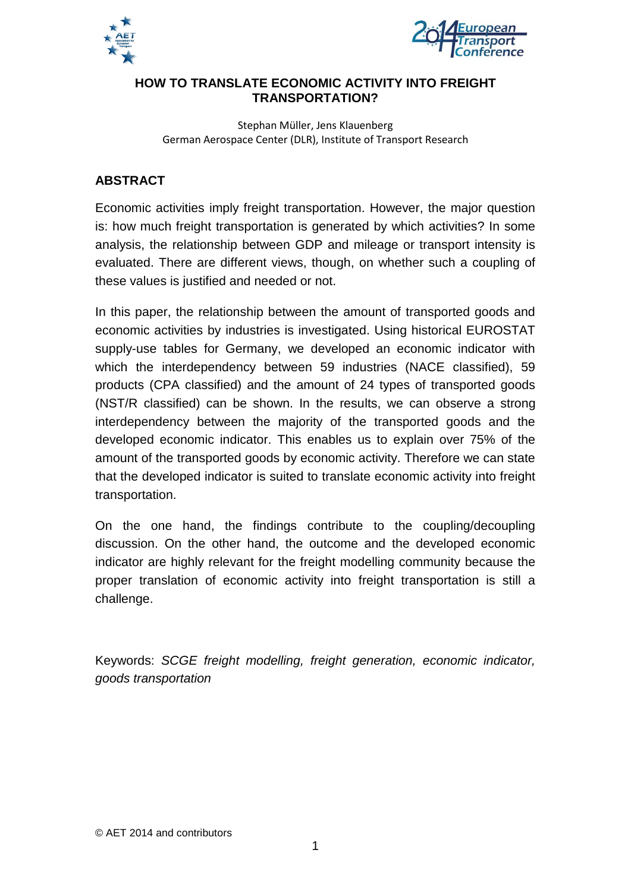



#### **HOW TO TRANSLATE ECONOMIC ACTIVITY INTO FREIGHT TRANSPORTATION?**

Stephan Müller, Jens Klauenberg German Aerospace Center (DLR), Institute of Transport Research

# **ABSTRACT**

Economic activities imply freight transportation. However, the major question is: how much freight transportation is generated by which activities? In some analysis, the relationship between GDP and mileage or transport intensity is evaluated. There are different views, though, on whether such a coupling of these values is justified and needed or not.

In this paper, the relationship between the amount of transported goods and economic activities by industries is investigated. Using historical EUROSTAT supply-use tables for Germany, we developed an economic indicator with which the interdependency between 59 industries (NACE classified), 59 products (CPA classified) and the amount of 24 types of transported goods (NST/R classified) can be shown. In the results, we can observe a strong interdependency between the majority of the transported goods and the developed economic indicator. This enables us to explain over 75% of the amount of the transported goods by economic activity. Therefore we can state that the developed indicator is suited to translate economic activity into freight transportation.

On the one hand, the findings contribute to the coupling/decoupling discussion. On the other hand, the outcome and the developed economic indicator are highly relevant for the freight modelling community because the proper translation of economic activity into freight transportation is still a challenge.

Keywords: *SCGE freight modelling, freight generation, economic indicator, goods transportation*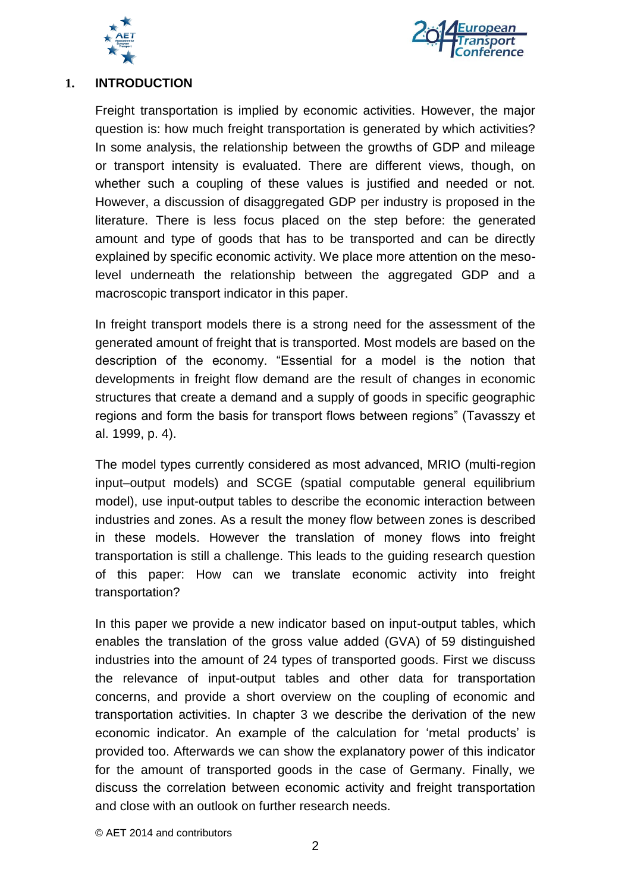



# **1. INTRODUCTION**

Freight transportation is implied by economic activities. However, the major question is: how much freight transportation is generated by which activities? In some analysis, the relationship between the growths of GDP and mileage or transport intensity is evaluated. There are different views, though, on whether such a coupling of these values is justified and needed or not. However, a discussion of disaggregated GDP per industry is proposed in the literature. There is less focus placed on the step before: the generated amount and type of goods that has to be transported and can be directly explained by specific economic activity. We place more attention on the mesolevel underneath the relationship between the aggregated GDP and a macroscopic transport indicator in this paper.

In freight transport models there is a strong need for the assessment of the generated amount of freight that is transported. Most models are based on the description of the economy. "Essential for a model is the notion that developments in freight flow demand are the result of changes in economic structures that create a demand and a supply of goods in specific geographic regions and form the basis for transport flows between regions" (Tavasszy et al. 1999, p. 4).

The model types currently considered as most advanced, MRIO (multi-region input–output models) and SCGE (spatial computable general equilibrium model), use input-output tables to describe the economic interaction between industries and zones. As a result the money flow between zones is described in these models. However the translation of money flows into freight transportation is still a challenge. This leads to the guiding research question of this paper: How can we translate economic activity into freight transportation?

In this paper we provide a new indicator based on input-output tables, which enables the translation of the gross value added (GVA) of 59 distinguished industries into the amount of 24 types of transported goods. First we discuss the relevance of input-output tables and other data for transportation concerns, and provide a short overview on the coupling of economic and transportation activities. In chapter 3 we describe the derivation of the new economic indicator. An example of the calculation for 'metal products' is provided too. Afterwards we can show the explanatory power of this indicator for the amount of transported goods in the case of Germany. Finally, we discuss the correlation between economic activity and freight transportation and close with an outlook on further research needs.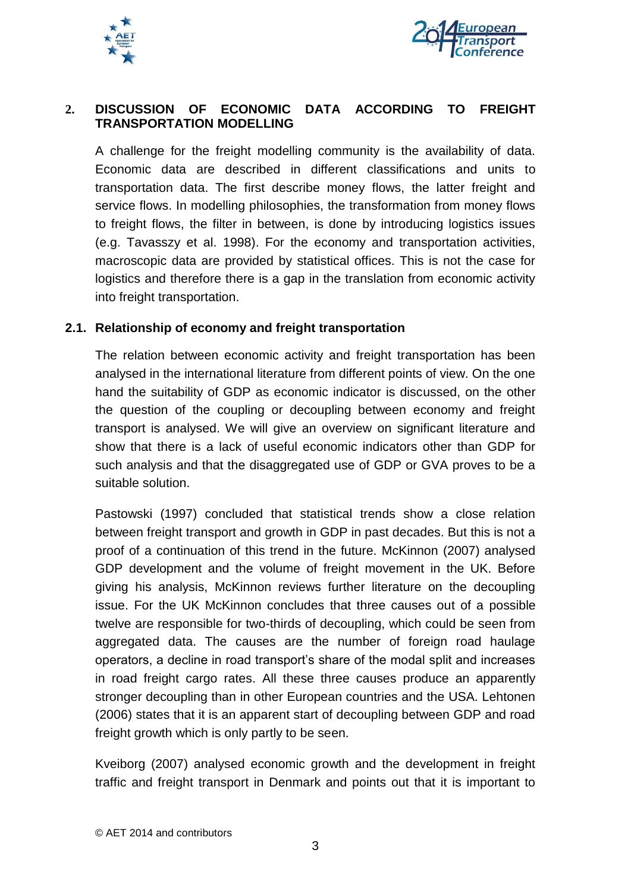



# **2. DISCUSSION OF ECONOMIC DATA ACCORDING TO FREIGHT TRANSPORTATION MODELLING**

A challenge for the freight modelling community is the availability of data. Economic data are described in different classifications and units to transportation data. The first describe money flows, the latter freight and service flows. In modelling philosophies, the transformation from money flows to freight flows, the filter in between, is done by introducing logistics issues (e.g. Tavasszy et al. 1998). For the economy and transportation activities, macroscopic data are provided by statistical offices. This is not the case for logistics and therefore there is a gap in the translation from economic activity into freight transportation.

#### **2.1. Relationship of economy and freight transportation**

The relation between economic activity and freight transportation has been analysed in the international literature from different points of view. On the one hand the suitability of GDP as economic indicator is discussed, on the other the question of the coupling or decoupling between economy and freight transport is analysed. We will give an overview on significant literature and show that there is a lack of useful economic indicators other than GDP for such analysis and that the disaggregated use of GDP or GVA proves to be a suitable solution.

Pastowski (1997) concluded that statistical trends show a close relation between freight transport and growth in GDP in past decades. But this is not a proof of a continuation of this trend in the future. McKinnon (2007) analysed GDP development and the volume of freight movement in the UK. Before giving his analysis, McKinnon reviews further literature on the decoupling issue. For the UK McKinnon concludes that three causes out of a possible twelve are responsible for two-thirds of decoupling, which could be seen from aggregated data. The causes are the number of foreign road haulage operators, a decline in road transport's share of the modal split and increases in road freight cargo rates. All these three causes produce an apparently stronger decoupling than in other European countries and the USA. Lehtonen (2006) states that it is an apparent start of decoupling between GDP and road freight growth which is only partly to be seen.

Kveiborg (2007) analysed economic growth and the development in freight traffic and freight transport in Denmark and points out that it is important to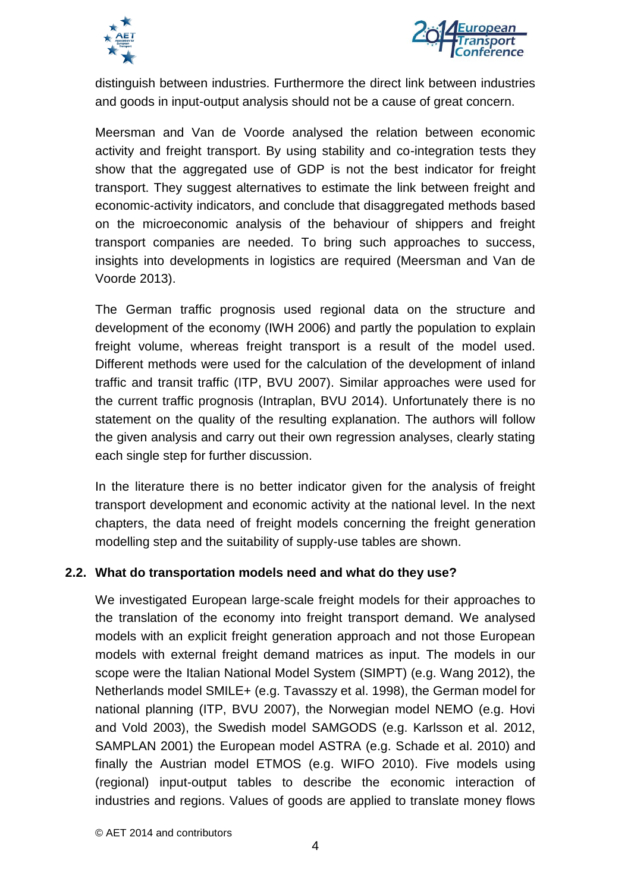



distinguish between industries. Furthermore the direct link between industries and goods in input-output analysis should not be a cause of great concern.

Meersman and Van de Voorde analysed the relation between economic activity and freight transport. By using stability and co-integration tests they show that the aggregated use of GDP is not the best indicator for freight transport. They suggest alternatives to estimate the link between freight and economic-activity indicators, and conclude that disaggregated methods based on the microeconomic analysis of the behaviour of shippers and freight transport companies are needed. To bring such approaches to success, insights into developments in logistics are required (Meersman and Van de Voorde 2013).

The German traffic prognosis used regional data on the structure and development of the economy (IWH 2006) and partly the population to explain freight volume, whereas freight transport is a result of the model used. Different methods were used for the calculation of the development of inland traffic and transit traffic (ITP, BVU 2007). Similar approaches were used for the current traffic prognosis (Intraplan, BVU 2014). Unfortunately there is no statement on the quality of the resulting explanation. The authors will follow the given analysis and carry out their own regression analyses, clearly stating each single step for further discussion.

In the literature there is no better indicator given for the analysis of freight transport development and economic activity at the national level. In the next chapters, the data need of freight models concerning the freight generation modelling step and the suitability of supply-use tables are shown.

#### **2.2. What do transportation models need and what do they use?**

We investigated European large-scale freight models for their approaches to the translation of the economy into freight transport demand. We analysed models with an explicit freight generation approach and not those European models with external freight demand matrices as input. The models in our scope were the Italian National Model System (SIMPT) (e.g. Wang 2012), the Netherlands model SMILE+ (e.g. Tavasszy et al. 1998), the German model for national planning (ITP, BVU 2007), the Norwegian model NEMO (e.g. Hovi and Vold 2003), the Swedish model SAMGODS (e.g. Karlsson et al. 2012, SAMPLAN 2001) the European model ASTRA (e.g. Schade et al. 2010) and finally the Austrian model ETMOS (e.g. WIFO 2010). Five models using (regional) input-output tables to describe the economic interaction of industries and regions. Values of goods are applied to translate money flows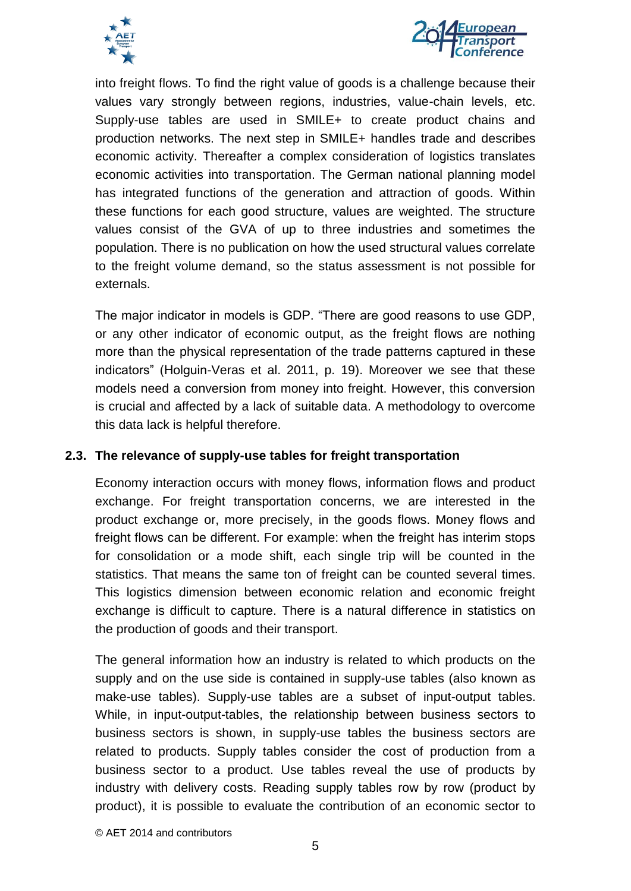



into freight flows. To find the right value of goods is a challenge because their values vary strongly between regions, industries, value-chain levels, etc. Supply-use tables are used in SMILE+ to create product chains and production networks. The next step in SMILE+ handles trade and describes economic activity. Thereafter a complex consideration of logistics translates economic activities into transportation. The German national planning model has integrated functions of the generation and attraction of goods. Within these functions for each good structure, values are weighted. The structure values consist of the GVA of up to three industries and sometimes the population. There is no publication on how the used structural values correlate to the freight volume demand, so the status assessment is not possible for externals.

The major indicator in models is GDP. "There are good reasons to use GDP, or any other indicator of economic output, as the freight flows are nothing more than the physical representation of the trade patterns captured in these indicators" (Holguin-Veras et al. 2011, p. 19). Moreover we see that these models need a conversion from money into freight. However, this conversion is crucial and affected by a lack of suitable data. A methodology to overcome this data lack is helpful therefore.

#### **2.3. The relevance of supply-use tables for freight transportation**

Economy interaction occurs with money flows, information flows and product exchange. For freight transportation concerns, we are interested in the product exchange or, more precisely, in the goods flows. Money flows and freight flows can be different. For example: when the freight has interim stops for consolidation or a mode shift, each single trip will be counted in the statistics. That means the same ton of freight can be counted several times. This logistics dimension between economic relation and economic freight exchange is difficult to capture. There is a natural difference in statistics on the production of goods and their transport.

The general information how an industry is related to which products on the supply and on the use side is contained in supply-use tables (also known as make-use tables). Supply-use tables are a subset of input-output tables. While, in input-output-tables, the relationship between business sectors to business sectors is shown, in supply-use tables the business sectors are related to products. Supply tables consider the cost of production from a business sector to a product. Use tables reveal the use of products by industry with delivery costs. Reading supply tables row by row (product by product), it is possible to evaluate the contribution of an economic sector to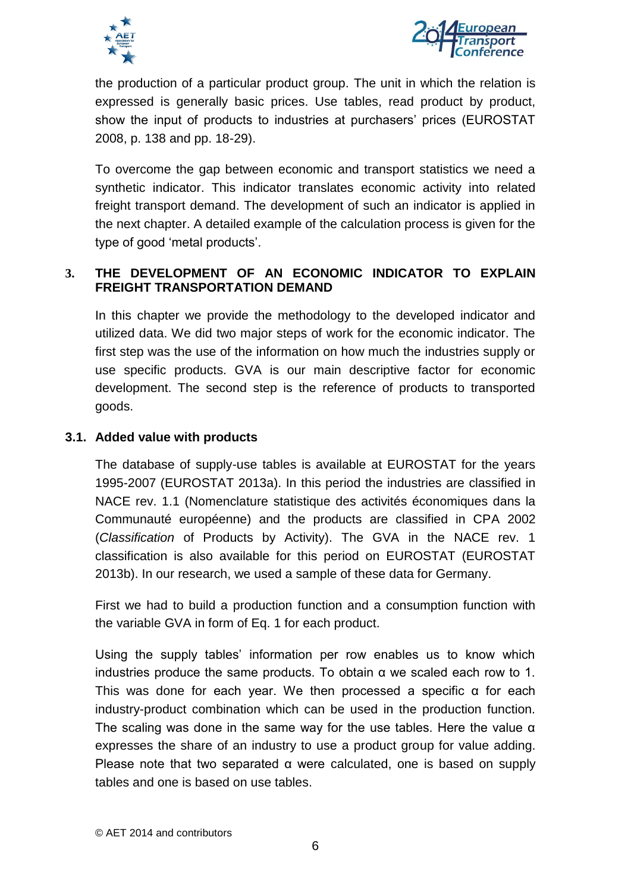



the production of a particular product group. The unit in which the relation is expressed is generally basic prices. Use tables, read product by product, show the input of products to industries at purchasers' prices (EUROSTAT 2008, p. 138 and pp. 18-29).

To overcome the gap between economic and transport statistics we need a synthetic indicator. This indicator translates economic activity into related freight transport demand. The development of such an indicator is applied in the next chapter. A detailed example of the calculation process is given for the type of good 'metal products'.

# **3. THE DEVELOPMENT OF AN ECONOMIC INDICATOR TO EXPLAIN FREIGHT TRANSPORTATION DEMAND**

In this chapter we provide the methodology to the developed indicator and utilized data. We did two major steps of work for the economic indicator. The first step was the use of the information on how much the industries supply or use specific products. GVA is our main descriptive factor for economic development. The second step is the reference of products to transported goods.

# **3.1. Added value with products**

The database of supply-use tables is available at EUROSTAT for the years 1995-2007 (EUROSTAT 2013a). In this period the industries are classified in NACE rev. 1.1 [\(Nomenclature](http://en.wikipedia.org/wiki/Nomenclature) statistique des activités économiques dans la Communauté européenne) and the products are classified in CPA 2002 (*Classification* of Products by Activity). The GVA in the NACE rev. 1 classification is also available for this period on EUROSTAT (EUROSTAT 2013b). In our research, we used a sample of these data for Germany.

First we had to build a production function and a consumption function with the variable GVA in form of Eq. 1 for each product.

Using the supply tables' information per row enables us to know which industries produce the same products. To obtain  $\alpha$  we scaled each row to 1. This was done for each year. We then processed a specific α for each industry-product combination which can be used in the production function. The scaling was done in the same way for the use tables. Here the value  $\alpha$ expresses the share of an industry to use a product group for value adding. Please note that two separated  $\alpha$  were calculated, one is based on supply tables and one is based on use tables.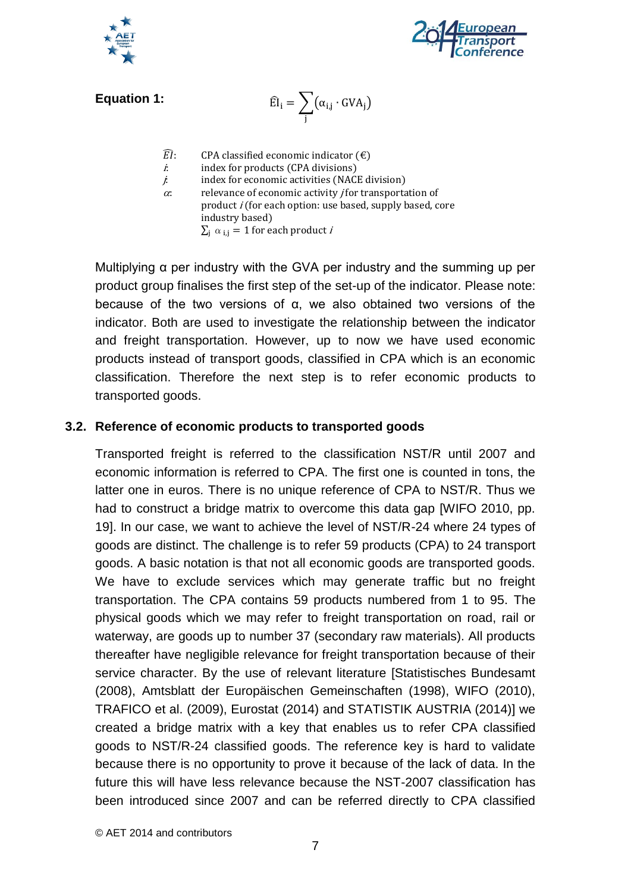



**Equation 1:** 

$$
\widehat{EI}_i = \sum_j (\alpha_{i,j} \cdot GVA_j)
$$

- $\widehat{El}$ : CPA classified economic indicator (€)  $i$ : index for products (CPA divisions)
- $\dot{r}$  index for economic activities (NACE division)
- $\alpha$ : relevance of economic activity *i* for transportation of product i (for each option: use based, supply based, core industry based)  $\sum_i \alpha_{i,i} = 1$  for each product *i*

Multiplying α per industry with the GVA per industry and the summing up per product group finalises the first step of the set-up of the indicator. Please note: because of the two versions of  $\alpha$ , we also obtained two versions of the indicator. Both are used to investigate the relationship between the indicator and freight transportation. However, up to now we have used economic products instead of transport goods, classified in CPA which is an economic classification. Therefore the next step is to refer economic products to transported goods.

# **3.2. Reference of economic products to transported goods**

Transported freight is referred to the classification NST/R until 2007 and economic information is referred to CPA. The first one is counted in tons, the latter one in euros. There is no unique reference of CPA to NST/R. Thus we had to construct a bridge matrix to overcome this data gap [WIFO 2010, pp. 19]. In our case, we want to achieve the level of NST/R-24 where 24 types of goods are distinct. The challenge is to refer 59 products (CPA) to 24 transport goods. A basic notation is that not all economic goods are transported goods. We have to exclude services which may generate traffic but no freight transportation. The CPA contains 59 products numbered from 1 to 95. The physical goods which we may refer to freight transportation on road, rail or waterway, are goods up to number 37 (secondary raw materials). All products thereafter have negligible relevance for freight transportation because of their service character. By the use of relevant literature [Statistisches Bundesamt (2008), Amtsblatt der Europäischen Gemeinschaften (1998), WIFO (2010), TRAFICO et al. (2009), Eurostat (2014) and STATISTIK AUSTRIA (2014)] we created a bridge matrix with a key that enables us to refer CPA classified goods to NST/R-24 classified goods. The reference key is hard to validate because there is no opportunity to prove it because of the lack of data. In the future this will have less relevance because the NST-2007 classification has been introduced since 2007 and can be referred directly to CPA classified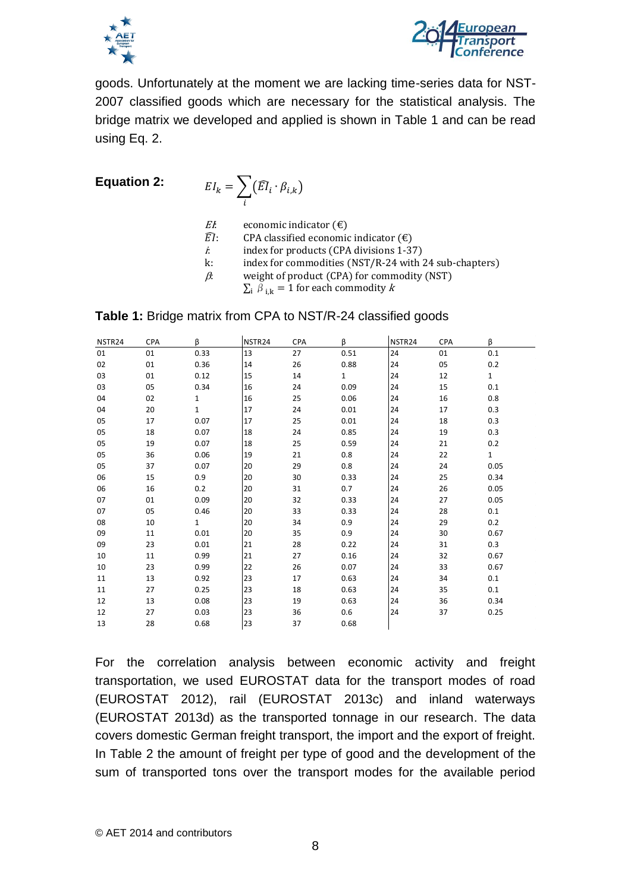



goods. Unfortunately at the moment we are lacking time-series data for NST-2007 classified goods which are necessary for the statistical analysis. The bridge matrix we developed and applied is shown in [Table 1](#page-7-0) and can be read using Eq. 2.

# **Equation 2:**  $E$

$$
I_k = \sum_i (\widehat{EI}_i \cdot \beta_{i,k})
$$

- *EI*: economic indicator  $(\epsilon)$
- $\widehat{El}$ : CPA classified economic indicator (€)
- $i$ : index for products (CPA divisions 1-37)
- k: index for commodities (NST/R-24 with 24 sub-chapters)
- $\beta$ : weight of product (CPA) for commodity (NST)
	- $\sum_i \beta_{i,k} = 1$  for each commodity k

#### <span id="page-7-0"></span>**Table 1:** Bridge matrix from CPA to NST/R-24 classified goods

| NSTR24 | <b>CPA</b> | β            | NSTR <sub>24</sub> | <b>CPA</b> | β            | NSTR <sub>24</sub> | CPA | β            |
|--------|------------|--------------|--------------------|------------|--------------|--------------------|-----|--------------|
| 01     | 01         | 0.33         | 13                 | 27         | 0.51         | 24                 | 01  | 0.1          |
| 02     | 01         | 0.36         | 14                 | 26         | 0.88         | 24                 | 05  | 0.2          |
| 03     | 01         | 0.12         | 15                 | 14         | $\mathbf{1}$ | 24                 | 12  | $\mathbf{1}$ |
| 03     | 05         | 0.34         | 16                 | 24         | 0.09         | 24                 | 15  | 0.1          |
| 04     | 02         | $\mathbf{1}$ | 16                 | 25         | 0.06         | 24                 | 16  | 0.8          |
| 04     | 20         | $\mathbf{1}$ | 17                 | 24         | 0.01         | 24                 | 17  | 0.3          |
| 05     | 17         | 0.07         | 17                 | 25         | 0.01         | 24                 | 18  | 0.3          |
| 05     | 18         | 0.07         | 18                 | 24         | 0.85         | 24                 | 19  | 0.3          |
| 05     | 19         | 0.07         | 18                 | 25         | 0.59         | 24                 | 21  | 0.2          |
| 05     | 36         | 0.06         | 19                 | 21         | 0.8          | 24                 | 22  | $\mathbf{1}$ |
| 05     | 37         | 0.07         | 20                 | 29         | 0.8          | 24                 | 24  | 0.05         |
| 06     | 15         | 0.9          | 20                 | 30         | 0.33         | 24                 | 25  | 0.34         |
| 06     | 16         | 0.2          | 20                 | 31         | 0.7          | 24                 | 26  | 0.05         |
| 07     | 01         | 0.09         | 20                 | 32         | 0.33         | 24                 | 27  | 0.05         |
| 07     | 05         | 0.46         | 20                 | 33         | 0.33         | 24                 | 28  | 0.1          |
| 08     | 10         | $\mathbf{1}$ | 20                 | 34         | 0.9          | 24                 | 29  | 0.2          |
| 09     | 11         | 0.01         | 20                 | 35         | 0.9          | 24                 | 30  | 0.67         |
| 09     | 23         | 0.01         | 21                 | 28         | 0.22         | 24                 | 31  | 0.3          |
| 10     | 11         | 0.99         | 21                 | 27         | 0.16         | 24                 | 32  | 0.67         |
| 10     | 23         | 0.99         | 22                 | 26         | 0.07         | 24                 | 33  | 0.67         |
| 11     | 13         | 0.92         | 23                 | 17         | 0.63         | 24                 | 34  | 0.1          |
| 11     | 27         | 0.25         | 23                 | 18         | 0.63         | 24                 | 35  | 0.1          |
| 12     | 13         | 0.08         | 23                 | 19         | 0.63         | 24                 | 36  | 0.34         |
| 12     | 27         | 0.03         | 23                 | 36         | 0.6          | 24                 | 37  | 0.25         |
| 13     | 28         | 0.68         | 23                 | 37         | 0.68         |                    |     |              |

For the correlation analysis between economic activity and freight transportation, we used EUROSTAT data for the transport modes of road (EUROSTAT 2012), rail (EUROSTAT 2013c) and inland waterways (EUROSTAT 2013d) as the transported tonnage in our research. The data covers domestic German freight transport, the import and the export of freight. In [Table 2](#page-8-0) the amount of freight per type of good and the development of the sum of transported tons over the transport modes for the available period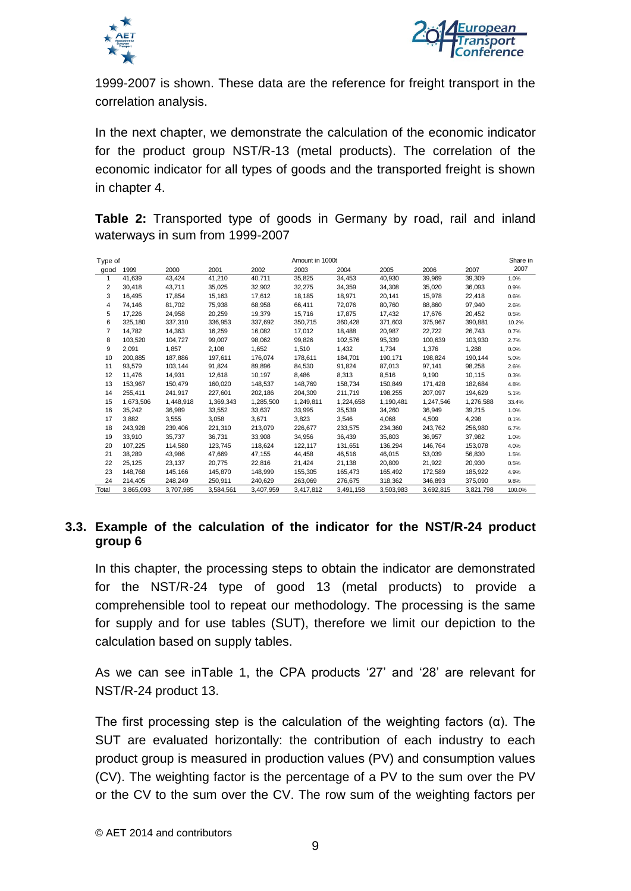



1999-2007 is shown. These data are the reference for freight transport in the correlation analysis.

In the next chapter, we demonstrate the calculation of the economic indicator for the product group NST/R-13 (metal products). The correlation of the economic indicator for all types of goods and the transported freight is shown in chapter 4.

<span id="page-8-0"></span>**Table 2:** Transported type of goods in Germany by road, rail and inland waterways in sum from 1999-2007

| Type of        |           |           |           |           | Amount in 1000t |           |           |           |           | Share in |
|----------------|-----------|-----------|-----------|-----------|-----------------|-----------|-----------|-----------|-----------|----------|
| qood           | 1999      | 2000      | 2001      | 2002      | 2003            | 2004      | 2005      | 2006      | 2007      | 2007     |
|                | 41,639    | 43,424    | 41,210    | 40.711    | 35,825          | 34,453    | 40,930    | 39,969    | 39,309    | 1.0%     |
| 2              | 30,418    | 43.711    | 35,025    | 32,902    | 32,275          | 34,359    | 34,308    | 35,020    | 36,093    | 0.9%     |
| 3              | 16,495    | 17,854    | 15,163    | 17,612    | 18,185          | 18,971    | 20,141    | 15,978    | 22,418    | 0.6%     |
| 4              | 74.146    | 81.702    | 75,938    | 68.958    | 66,411          | 72.076    | 80.760    | 88.860    | 97,940    | 2.6%     |
| 5              | 17,226    | 24,958    | 20,259    | 19,379    | 15,716          | 17,875    | 17,432    | 17,676    | 20,452    | 0.5%     |
| 6              | 325,180   | 337,310   | 336,953   | 337,692   | 350,715         | 360,428   | 371,603   | 375,967   | 390,881   | 10.2%    |
| $\overline{7}$ | 14.782    | 14,363    | 16,259    | 16,082    | 17,012          | 18,488    | 20,987    | 22,722    | 26,743    | 0.7%     |
| 8              | 103.520   | 104,727   | 99,007    | 98,062    | 99,826          | 102,576   | 95,339    | 100,639   | 103,930   | 2.7%     |
| 9              | 2.091     | 1.857     | 2,108     | 1,652     | 1,510           | 1,432     | 1,734     | 1,376     | 1,288     | 0.0%     |
| 10             | 200.885   | 187.886   | 197.611   | 176.074   | 178.611         | 184.701   | 190.171   | 198.824   | 190.144   | 5.0%     |
| 11             | 93.579    | 103,144   | 91,824    | 89,896    | 84,530          | 91,824    | 87.013    | 97,141    | 98,258    | 2.6%     |
| 12             | 11,476    | 14,931    | 12,618    | 10,197    | 8,486           | 8,313     | 8,516     | 9,190     | 10,115    | 0.3%     |
| 13             | 153.967   | 150,479   | 160,020   | 148,537   | 148,769         | 158,734   | 150,849   | 171,428   | 182,684   | 4.8%     |
| 14             | 255.411   | 241,917   | 227,601   | 202,186   | 204,309         | 211,719   | 198,255   | 207,097   | 194,629   | 5.1%     |
| 15             | 1,673,506 | 1,448,918 | 1,369,343 | 1,285,500 | 1,249,811       | 1,224,658 | 1,190,481 | 1,247,546 | 1,276,588 | 33.4%    |
| 16             | 35.242    | 36.989    | 33,552    | 33,637    | 33,995          | 35,539    | 34,260    | 36,949    | 39,215    | 1.0%     |
| 17             | 3.882     | 3,555     | 3.058     | 3.671     | 3,823           | 3.546     | 4.068     | 4,509     | 4,298     | 0.1%     |
| 18             | 243.928   | 239.406   | 221.310   | 213.079   | 226.677         | 233.575   | 234,360   | 243.762   | 256,980   | 6.7%     |
| 19             | 33,910    | 35,737    | 36,731    | 33,908    | 34,956          | 36,439    | 35,803    | 36,957    | 37,982    | 1.0%     |
| 20             | 107,225   | 114,580   | 123,745   | 118,624   | 122,117         | 131,651   | 136,294   | 146,764   | 153,078   | 4.0%     |
| 21             | 38,289    | 43,986    | 47,669    | 47,155    | 44,458          | 46,516    | 46,015    | 53,039    | 56,830    | 1.5%     |
| 22             | 25,125    | 23.137    | 20.775    | 22.816    | 21,424          | 21,138    | 20.809    | 21,922    | 20.930    | 0.5%     |
| 23             | 148.768   | 145.166   | 145,870   | 148,999   | 155,305         | 165,473   | 165.492   | 172,589   | 185,922   | 4.9%     |
| 24             | 214,405   | 248,249   | 250,911   | 240,629   | 263,069         | 276,675   | 318,362   | 346,893   | 375,090   | 9.8%     |
| Total          | 3.865.093 | 3.707.985 | 3.584.561 | 3.407.959 | 3.417.812       | 3.491.158 | 3.503.983 | 3.692.815 | 3.821.798 | 100.0%   |

# **3.3. Example of the calculation of the indicator for the NST/R-24 product group 6**

In this chapter, the processing steps to obtain the indicator are demonstrated for the NST/R-24 type of good 13 (metal products) to provide a comprehensible tool to repeat our methodology. The processing is the same for supply and for use tables (SUT), therefore we limit our depiction to the calculation based on supply tables.

As we can see i[nTable 1,](#page-7-0) the CPA products '27' and '28' are relevant for NST/R-24 product 13.

The first processing step is the calculation of the weighting factors  $(\alpha)$ . The SUT are evaluated horizontally: the contribution of each industry to each product group is measured in production values (PV) and consumption values (CV). The weighting factor is the percentage of a PV to the sum over the PV or the CV to the sum over the CV. The row sum of the weighting factors per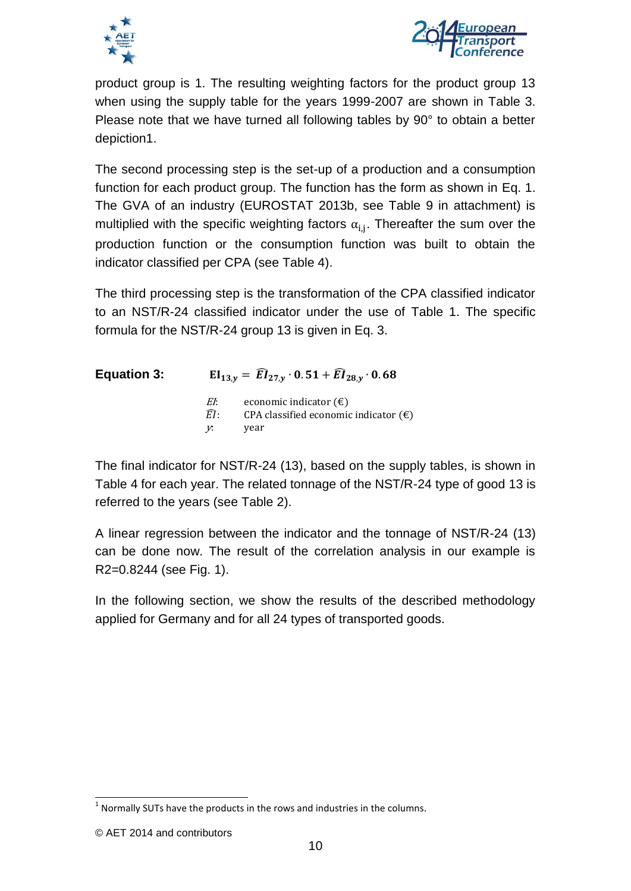



product group is 1. The resulting weighting factors for the product group 13 when using the supply table for the years 1999-2007 are shown in Table 3. Please note that we have turned all following tables by 90° to obtain a better depiction1.

The second processing step is the set-up of a production and a consumption function for each product group. The function has the form as shown in Eq. 1. The GVA of an industry (EUROSTAT 2013b, see Table 9 in attachment) is multiplied with the specific weighting factors  $\alpha_{i,i}$ . Thereafter the sum over the production function or the consumption function was built to obtain the indicator classified per CPA (see Table 4).

The third processing step is the transformation of the CPA classified indicator to an NST/R-24 classified indicator under the use of [Table 1.](#page-7-0) The specific formula for the NST/R-24 group 13 is given in Eq. 3.

| <b>Equation 3:</b> | $EI_{13,y} = \widehat{EI}_{27,y} \cdot 0.51 + \widehat{EI}_{28,y} \cdot 0.68$ |  |
|--------------------|-------------------------------------------------------------------------------|--|
|                    | economic indicator $(f)$                                                      |  |

*EI*: economic indicator  $(\epsilon)$  $\widehat{E}$ : CPA classified economic indicator (€) <sup>y</sup>: year

The final indicator for NST/R-24 (13), based on the supply tables, is shown in Table 4 for each year. The related tonnage of the NST/R-24 type of good 13 is referred to the years (see Table 2).

A linear regression between the indicator and the tonnage of NST/R-24 (13) can be done now. The result of the correlation analysis in our example is R2=0.8244 (see Fig. 1).

In the following section, we show the results of the described methodology applied for Germany and for all 24 types of transported goods.

l  $<sup>1</sup>$  Normally SUTs have the products in the rows and industries in the columns.</sup>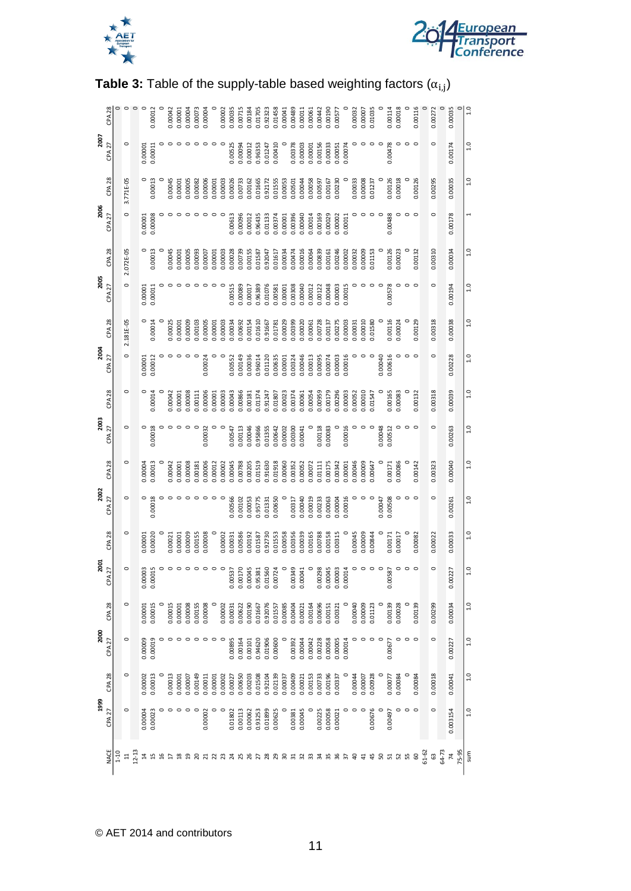



|      | <b>CPA28</b>            |                 |           |         | 0.00012 | 0.00042 | 0.00001 | 0.00004       | 0.00073 | 0.00004 |         | 0.00002      | 0.00035        | 0.00715 | 0.00184 | 0.01705 | 0.92323 | 0.01458 | 0.00041 | 0.00489 | 0.00011 | 0.00061 | 0.00442 | 0.00190 | 0.00577 |         | 0.00032 | 0.00007 | 0.01035 |         | 0.00114 | 0.00018       |         | 0.00116 |           | 0.00272 |       | 0.00035     | 1.0   |
|------|-------------------------|-----------------|-----------|---------|---------|---------|---------|---------------|---------|---------|---------|--------------|----------------|---------|---------|---------|---------|---------|---------|---------|---------|---------|---------|---------|---------|---------|---------|---------|---------|---------|---------|---------------|---------|---------|-----------|---------|-------|-------------|-------|
| 2007 | <b>CPA 27</b>           | $\circ$         |           | 0.00001 | 0.00011 |         |         |               |         |         |         |              | 0.00525        | 0.00094 | 0.00012 | 0.96353 | 0.01247 | 0.00410 |         | 0.00378 | 0.00003 | 0.00001 | 0.00156 | 0.00033 | 0.00051 | 0.00074 |         |         |         |         | 0.00478 |               |         | $\circ$ |           | $\circ$ |       | 0.00174     | 1.0   |
|      | <b>CPA 28</b>           | 3.771E-05       |           |         | 0.00013 | 0.00045 | 0.00001 | 0.00005       | 0.00082 | 0.00006 | 0.00001 | 0.00003      | 0.00026        | 0.00733 | 0.00162 | 0.01665 | 0.92172 | 0.01555 | 0.00053 | 0.00501 | 0.00044 | 0.00058 | 0.00597 | 0.00167 | 0.00230 |         | 0.00033 | 0.00008 | 0.01237 |         | 0.00126 | 0.00018       |         | 0.00126 |           | 0.00295 |       | 0.00035     | $1.0$ |
| 2006 | CPA 27                  | $\circ$         |           | 0.00001 | 0.00008 |         |         |               |         |         |         |              | 0.00613        | 0.00096 | 0.00012 | 0.96435 | 0.01133 | 0.00374 | 0.00001 | 0.00396 | 0.00040 | 0.00014 | 0.00169 | 0.00029 | 0.00002 | 0.00011 |         |         |         | $\circ$ | 0.00488 |               |         |         |           | $\circ$ |       | 0.00178     |       |
|      | <b>CPA 28</b>           | $2.072E-05$     |           |         | 0.00013 | 0.00045 | 0.00001 | 0.00005       | 0.00093 | 0.00007 | 0.00001 | 0.00003      | 0.00028        | 0.00739 | 0.00155 | 0.01587 | 0.92047 | 0.01617 | 0.00034 | 0.00474 | 0.00016 | 0.00064 | 0.00839 | 0.00161 | 0.00246 | 0.00002 | 0.00032 | 0.00009 | 0.01153 |         | 0.00126 | 0.00023       |         | 0.00132 |           | 0.00310 |       | 0.00034     | 1.0   |
| 2005 | <b>CPA 27</b>           |                 |           | 0.00001 | 0.00011 |         |         |               |         |         |         |              | 0.00515        | 0.00089 | 0.00017 | 0.96389 | 0.01076 | 0.00581 | 0.00001 | 0.00308 | 0.00040 | 0.00012 | 0.00122 | 0.00048 | 0.00003 | 0.00015 |         |         |         | $\circ$ | 0.00578 |               | $\circ$ |         |           | 0       |       | 0.00194     | 1.0   |
|      | <b>CPA 28</b>           | 2.181E-05       |           |         | 0.00014 | 0.00025 | 0.00001 | 0.00009       | 0.00103 | 0.00005 | 0.00001 | 0.00003      | 0.00034        | 0.00692 | 0.00154 | 0.01610 | 0.91667 | 0.01781 | 0.00029 | 0.00399 | 0.00020 | 0.00061 | 0.00728 | 0.00137 | 0.00275 | 0.00003 | 0.00031 | 0.00010 | 0.01580 |         | 0.00116 | 0.00024       |         | 0.00129 |           | 0.00318 |       | 0.00038     | 1.0   |
| 2004 | <b>CPA 27</b>           |                 |           | 0.00001 | 0.00012 |         |         |               |         | 0.00024 |         |              | 0.00552        | 0.00149 | 0.00036 | 0.96014 | 0.01120 | 0.00635 | 0.00001 | 0.00324 | 0.00046 | 0.00013 | 0.00095 | 0.00074 | 0.00003 | 0.00016 |         | 0       | $\circ$ | 0.00040 | 0.00616 |               |         |         |           | 0       |       | 0.00228     | 1.0   |
|      | <b>CPA 28</b>           | $\circ$         |           | $\circ$ | 0.00014 | 0.00042 | 0.00001 | 0.00008       | 0.00111 | 0.00006 | 0.00001 | 0.00003      | 0.00043        | 0.00866 | 0.00181 | 0.01374 | 0.91247 | 0.01807 | 0.00023 | 0.00374 | 0.00061 | 0.00054 | 0.00959 | 0.00179 | 0.00296 | 0.00003 | 0.00052 | 0.00010 | 0.01547 |         | 0.00165 | 0.00083       |         | 0.00132 |           | 0.00318 |       | 0.00039     | 1.0   |
| 2003 | CPA27                   | $\circ$         |           | $\circ$ | 0.00018 |         | $\circ$ | $\circ$       | $\circ$ | 0.00032 |         | $\circ$      | 0.00547        | 0.00113 | 0.00046 | 0.95866 | 0.01355 | 0.00642 | 0.00002 | 0.00300 | 0.00041 | $\circ$ | 0.00118 | 0.00083 | $\circ$ | 0.00016 | $\circ$ | $\circ$ | $\circ$ | 0.00048 | 0.00512 | $\circ$       | $\circ$ | $\circ$ |           | $\circ$ |       | 0.00263     | 1.0   |
|      | CPA 28                  | $\circ$         |           | 0.00004 | 0.00013 | 0.00042 | 0.00001 | 0.00008       | 0.00181 | 0.00006 | 0.00012 | 0.00002      | 0.00045        | 0.00788 | 0.00205 | 0.01519 | 0.91630 | 0.01918 | 0.00060 | 0.00352 | 0.00052 | 0.00072 | 0.01111 | 0.00175 | 0.00342 | 0.00001 | 0.00046 | 0.00009 | 0.00647 |         | 0.00171 | 0.00086       |         | 0.00142 |           | 0.00323 |       | 0.00040     | 1.0   |
| 2002 | CPA 27                  | $\circ$         |           | $\circ$ | 0.00018 |         |         |               |         |         |         |              | 0.00566        | 0.00102 | 0.00053 | 0.95775 | 0.01331 | 0.00650 | $\circ$ | 0.00317 | 0.00040 | 0.00019 | 0.00233 | 0.00063 | 0.00004 | 0.00016 |         | c       | $\circ$ | 0.00047 | 0.00508 |               | $\circ$ | $\circ$ |           | 0       |       | 0.00261     | $1.0$ |
|      | <b>CPA 28</b>           | $\circ$         |           | 0.00001 | 0.00020 | 0.00021 | 0.00001 | 0.00009       | 0.00155 | 0.00008 |         | 0.00002      | 0.00031        | 0.00586 | 0.00192 | 0.01587 | 0.92730 | 0.01553 | 0.00058 | 0.00356 | 0.00039 | 0.00165 | 0.00788 | 0.00158 | 0.00315 | $\circ$ | 0.00045 | 0.00009 | 0.00844 |         | 0.00171 | 0.00017       |         | 0.00082 |           | 0.00022 |       | 0.00033     | 1.0   |
| 2001 | 27<br>CPA               | $\circ$         |           | 0.00003 | 0.00015 |         |         |               |         |         |         | 0<br>0.00537 |                | 0.00170 | 0.00045 | 0.95381 | 0.01560 | 0.00724 |         | 0.00349 | 0.00041 |         | 0.00298 | 0.00045 | 0.000   | 0.00014 |         |         |         |         | 0.00587 |               |         |         |           | $\circ$ |       | 0.00227     | Ō.    |
|      | <b>CPA 28</b>           | $\circ$         |           | 0.00001 | 0.00015 | 0.00015 | 0.00001 | 0.00008       | 0.00155 | 0.00008 |         | 0.00002      | 0.00031        | 0.00622 | 0.00190 | 0.01667 | 0.92076 | 0.01557 | 0.00085 | 0.00404 | 0.00021 | 0.00164 | 0.00696 | 0.00151 | 0.00321 |         | 0.00040 | 0.00009 | 0.01123 |         | 0.00139 | 0.00028       |         | 0.00139 |           | 0.00299 |       | 0.00034     | 1.0   |
| 2000 | <b>CPA 27</b>           | $\circ$         |           | 0.00009 | 0.00019 |         |         |               |         |         |         |              | 0.00895        | 0.00164 | 0.00101 | 0.94620 | 0.01906 | 0.00600 |         | 0.00392 | 0.00044 | 0.00042 | 0.00228 | 0.00058 | 0.00005 | 0.00014 |         |         |         |         | 0.00677 |               |         |         |           |         |       | 0.00227     | 1.0   |
|      | <b>CPA 28</b>           | $\circ$         |           | 0.00002 | 0.00013 | 0.00013 | 0.00001 | 0.00007       | 0.00149 | 0.00011 | 0.00001 | 0.00002      | 0.00027        | 0.00650 | 0.00203 | 0.01508 | 0.92104 | 0.02139 | 0.00037 | 0.00409 | 0.00021 | 0.00153 | 0.00733 | 0.00196 | 0.00337 |         | 0.00044 | 0.00007 | 0.00928 |         | 0.00077 | 0.00084       |         | 0.00084 |           | 0.00018 |       | 0.00041     | 1.0   |
| 1999 | <b>CPA 27</b>           |                 |           | 0.00004 | 0.00023 |         |         |               |         | 0.00002 |         |              | 0.01802        | 0.00113 | 0.00062 | 0.93253 | 0.01899 | 0.00625 |         | 0.00381 | 0.00045 |         | 0.00225 | 0.00058 | 0.00021 |         |         |         | 0.00676 |         | 0.00497 |               |         |         |           |         |       | 0.003154    | $1.0$ |
|      | <b>NACE</b><br>$1 - 10$ | $\overline{11}$ | $12 - 13$ | 14      |         |         |         | $\frac{9}{1}$ |         |         |         |              | $\overline{a}$ |         | 26      |         |         |         |         |         |         |         |         |         |         |         | 40      |         |         |         |         | 5 5 5 5 5 6 6 |         |         | $51 - 62$ | $63$    | 64-73 | 75-95<br>74 | sum   |

#### **Table 3:** Table of the supply-table based weighting factors  $(\alpha_{i,j})$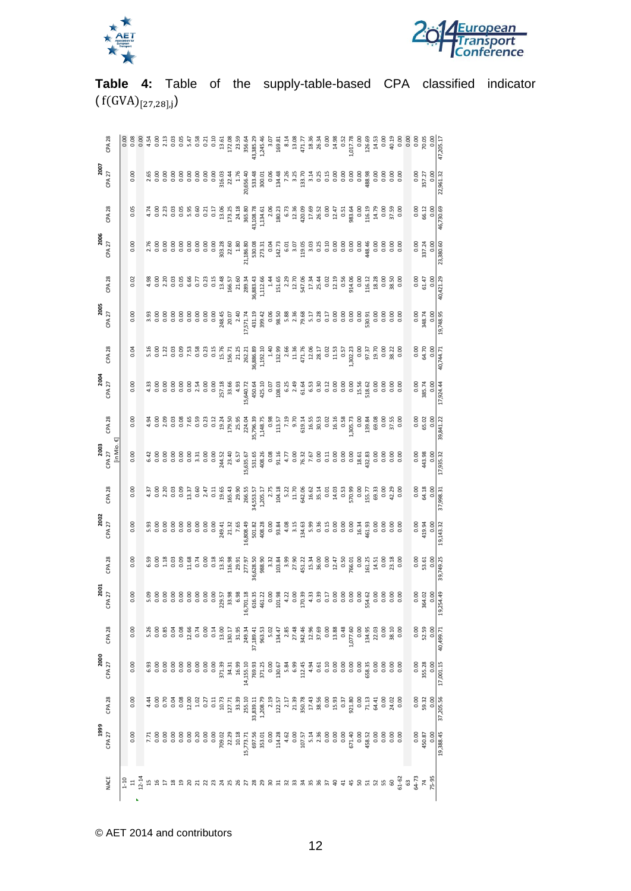



|                                |  |  | Table 4: Table of the supply-table-based CPA classified indicator |  |  |
|--------------------------------|--|--|-------------------------------------------------------------------|--|--|
| (f(GVA) <sub>[27,28],j</sub> ) |  |  |                                                                   |  |  |

|            | <b>CPA 28</b>                |          |       |          |  |               |                    | $\begin{array}{l} 39.25 \text{ } 29.25 \text{ } 20.25 \text{ } 20.25 \text{ } 20.25 \text{ } 20.25 \text{ } 20.25 \text{ } 20.25 \text{ } 20.25 \text{ } 20.25 \text{ } 20.25 \text{ } 20.25 \text{ } 20.25 \text{ } 20.25 \text{ } 20.25 \text{ } 20.25 \text{ } 20.25 \text{ } 20.25 \text{ } 20.25 \text{ } 20.25 \text{ } 20.25 \text{ } 20$ |  |  |                 |  |  |  |  |  |  |  |  |  |  |          |                          |                          | 47,205.1     |
|------------|------------------------------|----------|-------|----------|--|---------------|--------------------|--------------------------------------------------------------------------------------------------------------------------------------------------------------------------------------------------------------------------------------------------------------------------------------------------------------------------------------------------|--|--|-----------------|--|--|--|--|--|--|--|--|--|--|----------|--------------------------|--------------------------|--------------|
|            | 2007<br>CPA 27               |          | 0.00  |          |  |               |                    |                                                                                                                                                                                                                                                                                                                                                  |  |  |                 |  |  |  |  |  |  |  |  |  |  | $\alpha$ | 357.27                   |                          | 22,961.32    |
|            | CPA 28                       |          | 0.05  |          |  |               |                    |                                                                                                                                                                                                                                                                                                                                                  |  |  |                 |  |  |  |  |  |  |  |  |  |  |          | 0.12<br>66.12            | 0.00                     | 46,730.69    |
|            | 2006<br>CPA 27               |          | 0.00  |          |  |               |                    |                                                                                                                                                                                                                                                                                                                                                  |  |  |                 |  |  |  |  |  |  |  |  |  |  |          | 337.24<br>337.24         |                          | 23,380.60    |
|            | CPA 28                       |          | 0.02  |          |  |               |                    |                                                                                                                                                                                                                                                                                                                                                  |  |  |                 |  |  |  |  |  |  |  |  |  |  |          | 61.4                     |                          | 40,421.29    |
|            | 2005<br>CPA 27               |          | 0.00  |          |  |               |                    |                                                                                                                                                                                                                                                                                                                                                  |  |  |                 |  |  |  |  |  |  |  |  |  |  |          | $0.000$<br>00.00         | ē.                       | 19,748.9     |
|            | <b>CPA 28</b>                |          |       |          |  |               |                    |                                                                                                                                                                                                                                                                                                                                                  |  |  |                 |  |  |  |  |  |  |  |  |  |  |          | 0.00<br>64.70            | 0.00                     | 40,744.7     |
|            | 2004<br>CPA 27               |          | 0.00  |          |  |               |                    |                                                                                                                                                                                                                                                                                                                                                  |  |  |                 |  |  |  |  |  |  |  |  |  |  |          | 0.00<br>385.74           | 0.00                     | 17,924.44    |
|            | <b>CPA 28</b>                |          |       |          |  |               |                    |                                                                                                                                                                                                                                                                                                                                                  |  |  |                 |  |  |  |  |  |  |  |  |  |  | 0.00     | 65.0                     |                          | 39,841.22    |
| <b>200</b> | [in Mio<br>CPA <sub>27</sub> |          | 0.00  |          |  |               |                    |                                                                                                                                                                                                                                                                                                                                                  |  |  |                 |  |  |  |  |  |  |  |  |  |  |          | 443.98                   | $\alpha$                 | 17,935.3     |
|            | CPA 28                       |          | 0.00  |          |  |               |                    |                                                                                                                                                                                                                                                                                                                                                  |  |  |                 |  |  |  |  |  |  |  |  |  |  |          | o.a<br>Ga.ip<br>O.oc     |                          | 37,998.3     |
|            | 2002<br>CPA 27               |          | 0.00  |          |  |               |                    |                                                                                                                                                                                                                                                                                                                                                  |  |  |                 |  |  |  |  |  |  |  |  |  |  | 0.00     | 419.94                   | $\overline{0}$           | 19,143.3     |
|            | CPA 28                       |          | 0.00  |          |  |               | 0.0<br>0.0<br>11.6 |                                                                                                                                                                                                                                                                                                                                                  |  |  |                 |  |  |  |  |  |  |  |  |  |  | 0.00     | 53.61                    |                          | 39,749.25    |
|            | 2001<br>CPA 27               |          | 0.00  |          |  | $rac{8}{100}$ | 0.00               |                                                                                                                                                                                                                                                                                                                                                  |  |  | 16 <sub>1</sub> |  |  |  |  |  |  |  |  |  |  |          |                          | $0.00$<br>364.02<br>0.00 | 254.49<br>19 |
|            | CPA 28                       |          |       |          |  |               |                    |                                                                                                                                                                                                                                                                                                                                                  |  |  |                 |  |  |  |  |  |  |  |  |  |  |          | 0.00<br>52.50<br>0.00    |                          | 40,499.7     |
| 2000       | CPA 27                       |          | 0.00  |          |  |               |                    |                                                                                                                                                                                                                                                                                                                                                  |  |  |                 |  |  |  |  |  |  |  |  |  |  |          |                          | $0.00$<br>355.28         | 17,001.15    |
|            | CPA 28                       |          |       |          |  |               |                    |                                                                                                                                                                                                                                                                                                                                                  |  |  |                 |  |  |  |  |  |  |  |  |  |  |          | $0.000$<br>59.32<br>0.00 |                          | 37,205.56    |
| 1999       | CPA27                        |          | 0.00  |          |  |               |                    |                                                                                                                                                                                                                                                                                                                                                  |  |  |                 |  |  |  |  |  |  |  |  |  |  |          | 0.00<br>450.87           | 0.00                     | 19,388.45    |
|            | <b>NACE</b>                  | $1 - 10$ | $\Xi$ | $2 - 14$ |  |               |                    | されけ 3 けのたとなれたあためのほとをおます 3 でんれおい 12 12 13 13 13 14 14 15 14 15 14 15 14 15 14 15 14 15 14 15 14 15 14 15 14 15                                                                                                                                                                                                                                    |  |  |                 |  |  |  |  |  |  |  |  |  |  |          |                          |                          |              |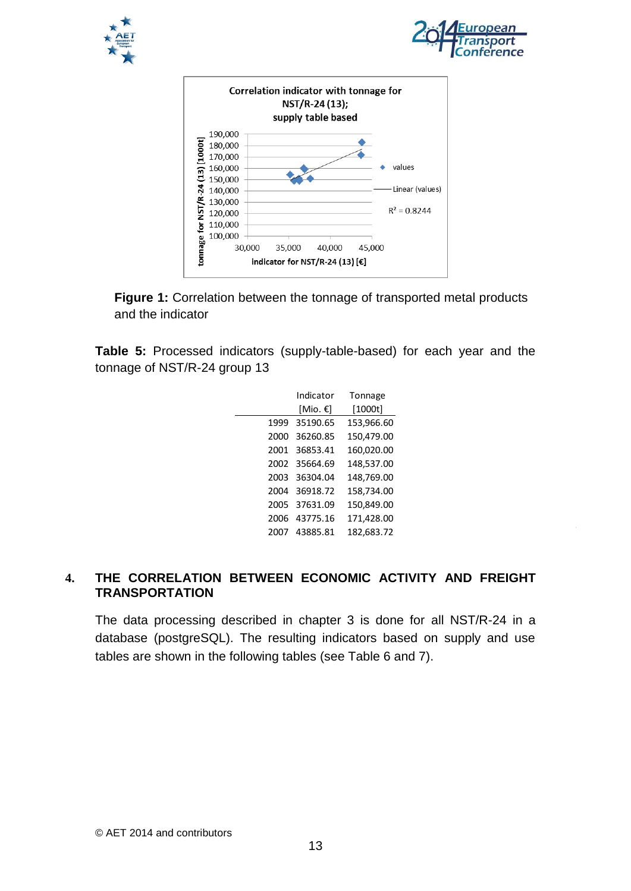







**Table 5:** Processed indicators (supply-table-based) for each year and the tonnage of NST/R-24 group 13

|      | Indicator | Tonnage    |
|------|-----------|------------|
|      | [Mio. €]  | [1000t]    |
| 1999 | 35190.65  | 153,966.60 |
| 2000 | 36260.85  | 150,479.00 |
| 2001 | 36853.41  | 160,020.00 |
| 2002 | 35664.69  | 148,537.00 |
| 2003 | 36304.04  | 148,769.00 |
| 2004 | 36918.72  | 158,734.00 |
| 2005 | 37631.09  | 150,849.00 |
| 2006 | 43775.16  | 171,428.00 |
| 2007 | 43885.81  | 182,683.72 |
|      |           |            |

#### **4. THE CORRELATION BETWEEN ECONOMIC ACTIVITY AND FREIGHT TRANSPORTATION**

The data processing described in chapter 3 is done for all NST/R-24 in a database (postgreSQL). The resulting indicators based on supply and use tables are shown in the following tables (see Table 6 and 7).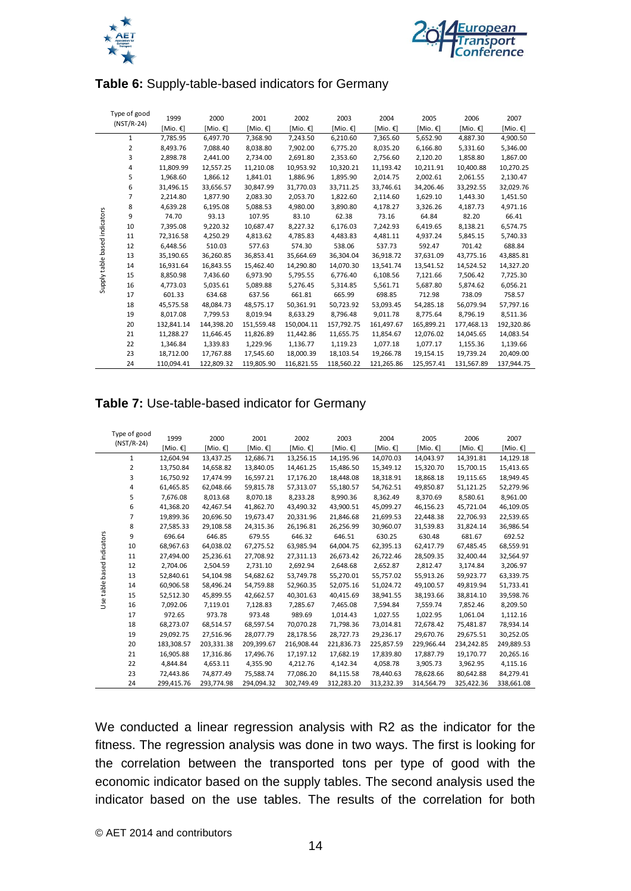



#### **Table 6:** Supply-table-based indicators for Germany

|                               | Type of good   | 1999       | 2000       | 2001       | 2002       | 2003       | 2004       | 2005       | 2006               | 2007       |
|-------------------------------|----------------|------------|------------|------------|------------|------------|------------|------------|--------------------|------------|
|                               | $(NST/R-24)$   | [Mio. €]   | [Mio. €]   | [Mio. €]   | [Mio. €]   | [Mio. €]   | [Mio. €]   | [Mio. €]   | [Mio. $\epsilon$ ] | [Mio. €]   |
|                               | $\mathbf{1}$   | 7,785.95   | 6,497.70   | 7,368.90   | 7,243.50   | 6,210.60   | 7,365.60   | 5,652.90   | 4,887.30           | 4,900.50   |
|                               | $\overline{2}$ | 8,493.76   | 7,088.40   | 8,038.80   | 7,902.00   | 6,775.20   | 8,035.20   | 6,166.80   | 5,331.60           | 5,346.00   |
|                               | 3              | 2,898.78   | 2,441.00   | 2,734.00   | 2,691.80   | 2,353.60   | 2,756.60   | 2,120.20   | 1,858.80           | 1,867.00   |
|                               | 4              | 11,809.99  | 12,557.25  | 11,210.08  | 10,953.92  | 10,320.21  | 11,193.42  | 10,211.91  | 10,400.88          | 10,270.25  |
|                               | 5              | 1,968.60   | 1,866.12   | 1,841.01   | 1,886.96   | 1,895.90   | 2,014.75   | 2,002.61   | 2,061.55           | 2,130.47   |
|                               | 6              | 31,496.15  | 33,656.57  | 30,847.99  | 31,770.03  | 33,711.25  | 33,746.61  | 34,206.46  | 33,292.55          | 32,029.76  |
|                               | 7              | 2,214.80   | 1,877.90   | 2,083.30   | 2,053.70   | 1,822.60   | 2,114.60   | 1,629.10   | 1,443.30           | 1,451.50   |
|                               | 8              | 4,639.28   | 6,195.08   | 5.088.53   | 4,980.00   | 3.890.80   | 4,178.27   | 3,326.26   | 4,187.73           | 4,971.16   |
| Supply table based indicators | 9              | 74.70      | 93.13      | 107.95     | 83.10      | 62.38      | 73.16      | 64.84      | 82.20              | 66.41      |
|                               | 10             | 7,395.08   | 9,220.32   | 10,687.47  | 8,227.32   | 6,176.03   | 7,242.93   | 6,419.65   | 8,138.21           | 6,574.75   |
|                               | 11             | 72,316.58  | 4,250.29   | 4,813.62   | 4,785.83   | 4,483.83   | 4,481.11   | 4,937.24   | 5,845.15           | 5,740.33   |
|                               | 12             | 6,448.56   | 510.03     | 577.63     | 574.30     | 538.06     | 537.73     | 592.47     | 701.42             | 688.84     |
|                               | 13             | 35,190.65  | 36,260.85  | 36,853.41  | 35,664.69  | 36,304.04  | 36,918.72  | 37,631.09  | 43,775.16          | 43,885.81  |
|                               | 14             | 16,931.64  | 16,843.55  | 15,462.40  | 14,290.80  | 14.070.30  | 13,541.74  | 13,541.52  | 14,524.52          | 14,327.20  |
|                               | 15             | 8,850.98   | 7,436.60   | 6,973.90   | 5,795.55   | 6,776.40   | 6,108.56   | 7,121.66   | 7,506.42           | 7,725.30   |
|                               | 16             | 4,773.03   | 5,035.61   | 5,089.88   | 5,276.45   | 5,314.85   | 5,561.71   | 5,687.80   | 5,874.62           | 6,056.21   |
|                               | 17             | 601.33     | 634.68     | 637.56     | 661.81     | 665.99     | 698.85     | 712.98     | 738.09             | 758.57     |
|                               | 18             | 45,575.58  | 48.084.73  | 48,575.17  | 50,361.91  | 50.723.92  | 53,093.45  | 54,285.18  | 56,079.94          | 57,797.16  |
|                               | 19             | 8,017.08   | 7,799.53   | 8,019.94   | 8,633.29   | 8.796.48   | 9,011.78   | 8,775.64   | 8,796.19           | 8,511.36   |
|                               | 20             | 132,841.14 | 144,398.20 | 151,559.48 | 150,004.11 | 157,792.75 | 161,497.67 | 165,899.21 | 177,468.13         | 192,320.86 |
|                               | 21             | 11,288.27  | 11,646.45  | 11,826.89  | 11,442.86  | 11,655.75  | 11,854.67  | 12,076.02  | 14,045.65          | 14,083.54  |
|                               | 22             | 1,346.84   | 1,339.83   | 1,229.96   | 1,136.77   | 1,119.23   | 1,077.18   | 1.077.17   | 1,155.36           | 1,139.66   |
|                               | 23             | 18,712.00  | 17,767.88  | 17,545.60  | 18,000.39  | 18,103.54  | 19,266.78  | 19,154.15  | 19,739.24          | 20,409.00  |
|                               | 24             | 110,094.41 | 122,809.32 | 119,805.90 | 116,821.55 | 118,560.22 | 121,265.86 | 125,957.41 | 131,567.89         | 137,944.75 |

# **Table 7:** Use-table-based indicator for Germany

|                  | Type of good | 1999                 | 2000               | 2001       | 2002               | 2003               | 2004       | 2005               | 2006       | 2007               |
|------------------|--------------|----------------------|--------------------|------------|--------------------|--------------------|------------|--------------------|------------|--------------------|
|                  | $(NST/R-24)$ | $[Mio. \varepsilon]$ | [Mio. $\epsilon$ ] | [Mio. €]   | [Mio. $\epsilon$ ] | [Mio. $\epsilon$ ] | [Mio. €]   | [Mio. $\epsilon$ ] | [Mio. €]   | [Mio. $\epsilon$ ] |
|                  | 1            | 12,604.94            | 13,437.25          | 12,686.71  | 13,256.15          | 14,195.96          | 14,070.03  | 14,043.97          | 14,391.81  | 14,129.18          |
|                  | 2            | 13,750.84            | 14,658.82          | 13,840.05  | 14,461.25          | 15,486.50          | 15,349.12  | 15,320.70          | 15.700.15  | 15,413.65          |
|                  | 3            | 16,750.92            | 17,474.99          | 16,597.21  | 17,176.20          | 18,448.08          | 18,318.91  | 18,868.18          | 19,115.65  | 18,949.45          |
|                  | 4            | 61,465.85            | 62,048.66          | 59,815.78  | 57,313.07          | 55,180.57          | 54,762.51  | 49,850.87          | 51,121.25  | 52,279.96          |
|                  | 5            | 7,676.08             | 8,013.68           | 8,070.18   | 8,233.28           | 8.990.36           | 8,362.49   | 8,370.69           | 8,580.61   | 8,961.00           |
|                  | 6            | 41,368.20            | 42,467.54          | 41,862.70  | 43,490.32          | 43,900.51          | 45,099.27  | 46,156.23          | 45,721.04  | 46,109.05          |
|                  | 7            | 19,899.36            | 20.696.50          | 19,673.47  | 20,331.96          | 21,846.68          | 21,699.53  | 22,448.38          | 22.706.93  | 22,539.65          |
|                  | 8            | 27,585.33            | 29,108.58          | 24,315.36  | 26,196.81          | 26,256.99          | 30,960.07  | 31,539.83          | 31,824.14  | 36,986.54          |
| based indicators | 9            | 696.64               | 646.85             | 679.55     | 646.32             | 646.51             | 630.25     | 630.48             | 681.67     | 692.52             |
|                  | 10           | 68,967.63            | 64,038.02          | 67,275.52  | 63,985.94          | 64,004.75          | 62,395.13  | 62,417.79          | 67,485.45  | 68,559.91          |
|                  | 11           | 27,494.00            | 25,236.61          | 27.708.92  | 27,311.13          | 26,673.42          | 26,722.46  | 28,509.35          | 32.400.44  | 32,564.97          |
|                  | 12           | 2,704.06             | 2,504.59           | 2,731.10   | 2,692.94           | 2,648.68           | 2,652.87   | 2,812.47           | 3,174.84   | 3,206.97           |
|                  | 13           | 52,840.61            | 54,104.98          | 54,682.62  | 53,749.78          | 55,270.01          | 55,757.02  | 55,913.26          | 59,923.77  | 63,339.75          |
| Use table        | 14           | 60,906.58            | 58,496.24          | 54,759.88  | 52,960.35          | 52,075.16          | 51,024.72  | 49,100.57          | 49.819.94  | 51,733.41          |
|                  | 15           | 52,512.30            | 45,899.55          | 42,662.57  | 40,301.63          | 40,415.69          | 38,941.55  | 38,193.66          | 38,814.10  | 39,598.76          |
|                  | 16           | 7,092.06             | 7,119.01           | 7,128.83   | 7,285.67           | 7,465.08           | 7,594.84   | 7,559.74           | 7,852.46   | 8,209.50           |
|                  | 17           | 972.65               | 973.78             | 973.48     | 989.69             | 1,014.43           | 1,027.55   | 1,022.95           | 1,061.04   | 1,112.16           |
|                  | 18           | 68,273.07            | 68,514.57          | 68,597.54  | 70,070.28          | 71.798.36          | 73,014.81  | 72,678.42          | 75,481.87  | 78,934.14          |
|                  | 19           | 29,092.75            | 27,516.96          | 28,077.79  | 28,178.56          | 28,727.73          | 29,236.17  | 29,670.76          | 29,675.51  | 30,252.05          |
|                  | 20           | 183,308.57           | 203,331.38         | 209,399.67 | 216,908.44         | 221,836.73         | 225,857.59 | 229,966.44         | 234,242.85 | 249,889.53         |
|                  | 21           | 16,905.88            | 17,316.86          | 17,496.76  | 17,197.12          | 17,682.19          | 17,839.80  | 17,887.79          | 19,170.77  | 20,265.16          |
|                  | 22           | 4,844.84             | 4,653.11           | 4,355.90   | 4,212.76           | 4,142.34           | 4,058.78   | 3,905.73           | 3,962.95   | 4,115.16           |
|                  | 23           | 72,443.86            | 74,877.49          | 75.588.74  | 77,086.20          | 84,115.58          | 78,440.63  | 78,628.66          | 80,642.88  | 84,279.41          |
|                  | 24           | 299,415.76           | 293,774.98         | 294,094.32 | 302,749.49         | 312,283.20         | 313,232.39 | 314,564.79         | 325,422.36 | 338,661.08         |

We conducted a linear regression analysis with R2 as the indicator for the fitness. The regression analysis was done in two ways. The first is looking for the correlation between the transported tons per type of good with the economic indicator based on the supply tables. The second analysis used the indicator based on the use tables. The results of the correlation for both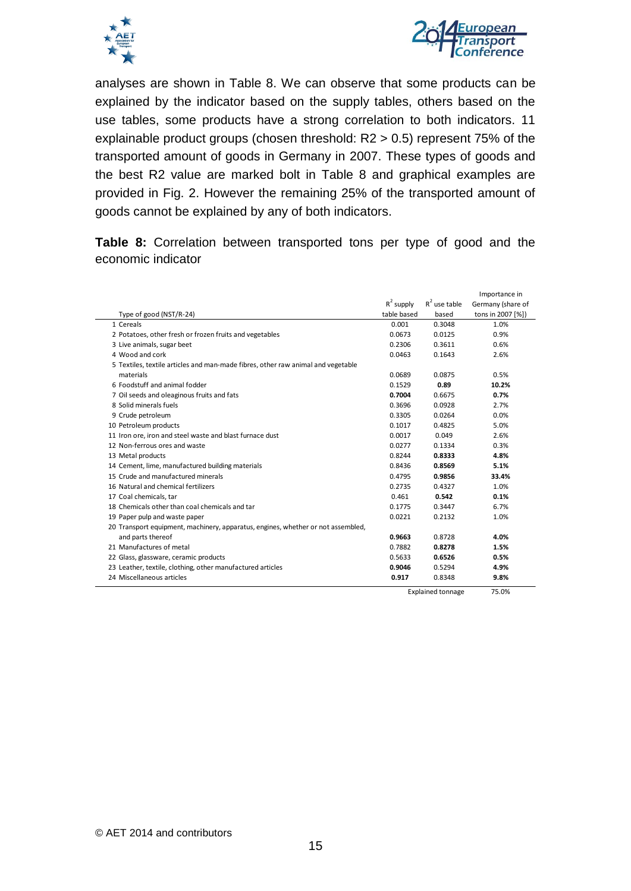



analyses are shown in Table 8. We can observe that some products can be explained by the indicator based on the supply tables, others based on the use tables, some products have a strong correlation to both indicators. 11 explainable product groups (chosen threshold: R2 > 0.5) represent 75% of the transported amount of goods in Germany in 2007. These types of goods and the best R2 value are marked bolt in Table 8 and graphical examples are provided in Fig. 2. However the remaining 25% of the transported amount of goods cannot be explained by any of both indicators.

**Table 8:** Correlation between transported tons per type of good and the economic indicator

|                                                                                  |              |                 | Importance in     |
|----------------------------------------------------------------------------------|--------------|-----------------|-------------------|
|                                                                                  | $R^2$ supply | $R^2$ use table | Germany (share of |
| Type of good (NST/R-24)                                                          | table based  | based           | tons in 2007 [%]) |
| 1 Cereals                                                                        | 0.001        | 0.3048          | 1.0%              |
| 2 Potatoes, other fresh or frozen fruits and vegetables                          | 0.0673       | 0.0125          | 0.9%              |
| 3 Live animals, sugar beet                                                       | 0.2306       | 0.3611          | 0.6%              |
| 4 Wood and cork                                                                  | 0.0463       | 0.1643          | 2.6%              |
| 5 Textiles, textile articles and man-made fibres, other raw animal and vegetable |              |                 |                   |
| materials                                                                        | 0.0689       | 0.0875          | 0.5%              |
| 6 Foodstuff and animal fodder                                                    | 0.1529       | 0.89            | 10.2%             |
| 7 Oil seeds and oleaginous fruits and fats                                       | 0.7004       | 0.6675          | 0.7%              |
| 8 Solid minerals fuels                                                           | 0.3696       | 0.0928          | 2.7%              |
| 9 Crude petroleum                                                                | 0.3305       | 0.0264          | 0.0%              |
| 10 Petroleum products                                                            | 0.1017       | 0.4825          | 5.0%              |
| 11 Iron ore, iron and steel waste and blast furnace dust                         | 0.0017       | 0.049           | 2.6%              |
| 12 Non-ferrous ores and waste                                                    | 0.0277       | 0.1334          | 0.3%              |
| 13 Metal products                                                                | 0.8244       | 0.8333          | 4.8%              |
| 14 Cement, lime, manufactured building materials                                 | 0.8436       | 0.8569          | 5.1%              |
| 15 Crude and manufactured minerals                                               | 0.4795       | 0.9856          | 33.4%             |
| 16 Natural and chemical fertilizers                                              | 0.2735       | 0.4327          | 1.0%              |
| 17 Coal chemicals, tar                                                           | 0.461        | 0.542           | 0.1%              |
| 18 Chemicals other than coal chemicals and tar                                   | 0.1775       | 0.3447          | 6.7%              |
| 19 Paper pulp and waste paper                                                    | 0.0221       | 0.2132          | 1.0%              |
| 20 Transport equipment, machinery, apparatus, engines, whether or not assembled, |              |                 |                   |
| and parts thereof                                                                | 0.9663       | 0.8728          | 4.0%              |
| 21 Manufactures of metal                                                         | 0.7882       | 0.8278          | 1.5%              |
| 22 Glass, glassware, ceramic products                                            | 0.5633       | 0.6526          | 0.5%              |
| 23 Leather, textile, clothing, other manufactured articles                       | 0.9046       | 0.5294          | 4.9%              |
| 24 Miscellaneous articles                                                        | 0.917        | 0.8348          | 9.8%              |
|                                                                                  |              |                 |                   |

Explained tonnage 75.0%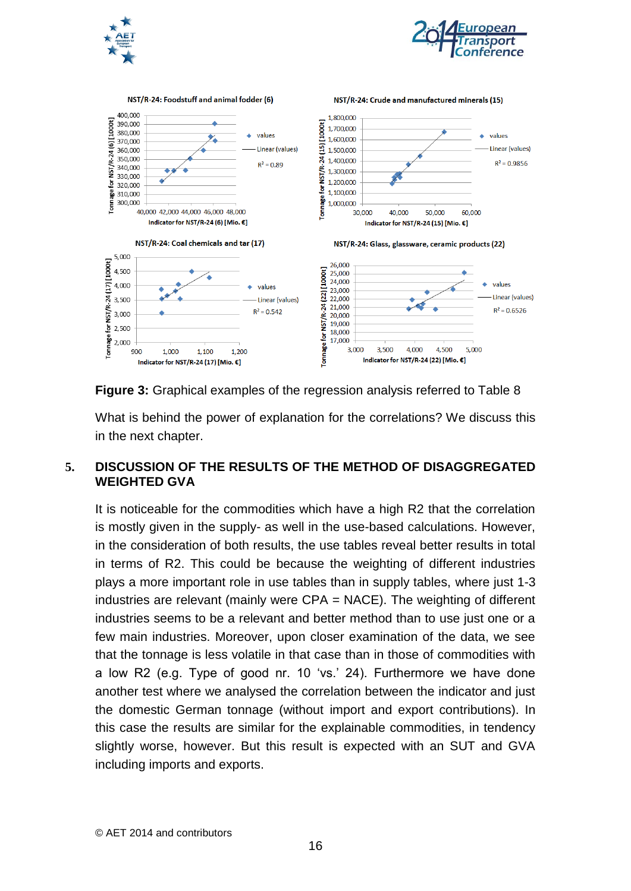





# **Figure 3:** Graphical examples of the regression analysis referred to Table 8

What is behind the power of explanation for the correlations? We discuss this in the next chapter.

# **5. DISCUSSION OF THE RESULTS OF THE METHOD OF DISAGGREGATED WEIGHTED GVA**

It is noticeable for the commodities which have a high R2 that the correlation is mostly given in the supply- as well in the use-based calculations. However, in the consideration of both results, the use tables reveal better results in total in terms of R2. This could be because the weighting of different industries plays a more important role in use tables than in supply tables, where just 1-3 industries are relevant (mainly were CPA = NACE). The weighting of different industries seems to be a relevant and better method than to use just one or a few main industries. Moreover, upon closer examination of the data, we see that the tonnage is less volatile in that case than in those of commodities with a low R2 (e.g. Type of good nr. 10 'vs.' 24). Furthermore we have done another test where we analysed the correlation between the indicator and just the domestic German tonnage (without import and export contributions). In this case the results are similar for the explainable commodities, in tendency slightly worse, however. But this result is expected with an SUT and GVA including imports and exports.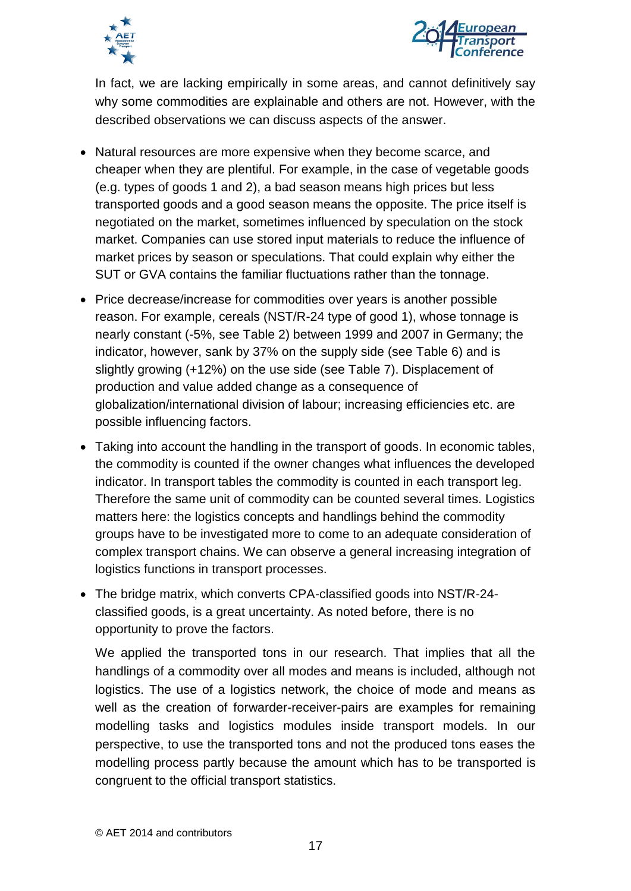



In fact, we are lacking empirically in some areas, and cannot definitively say why some commodities are explainable and others are not. However, with the described observations we can discuss aspects of the answer.

- Natural resources are more expensive when they become scarce, and cheaper when they are plentiful. For example, in the case of vegetable goods (e.g. types of goods 1 and 2), a bad season means high prices but less transported goods and a good season means the opposite. The price itself is negotiated on the market, sometimes influenced by speculation on the stock market. Companies can use stored input materials to reduce the influence of market prices by season or speculations. That could explain why either the SUT or GVA contains the familiar fluctuations rather than the tonnage.
- Price decrease/increase for commodities over years is another possible reason. For example, cereals (NST/R-24 type of good 1), whose tonnage is nearly constant (-5%, see Table 2) between 1999 and 2007 in Germany; the indicator, however, sank by 37% on the supply side (see Table 6) and is slightly growing (+12%) on the use side (see Table 7). Displacement of production and value added change as a consequence of globalization/international division of labour; increasing efficiencies etc. are possible influencing factors.
- Taking into account the handling in the transport of goods. In economic tables, the commodity is counted if the owner changes what influences the developed indicator. In transport tables the commodity is counted in each transport leg. Therefore the same unit of commodity can be counted several times. Logistics matters here: the logistics concepts and handlings behind the commodity groups have to be investigated more to come to an adequate consideration of complex transport chains. We can observe a general increasing integration of logistics functions in transport processes.
- The bridge matrix, which converts CPA-classified goods into NST/R-24 classified goods, is a great uncertainty. As noted before, there is no opportunity to prove the factors.

We applied the transported tons in our research. That implies that all the handlings of a commodity over all modes and means is included, although not logistics. The use of a logistics network, the choice of mode and means as well as the creation of forwarder-receiver-pairs are examples for remaining modelling tasks and logistics modules inside transport models. In our perspective, to use the transported tons and not the produced tons eases the modelling process partly because the amount which has to be transported is congruent to the official transport statistics.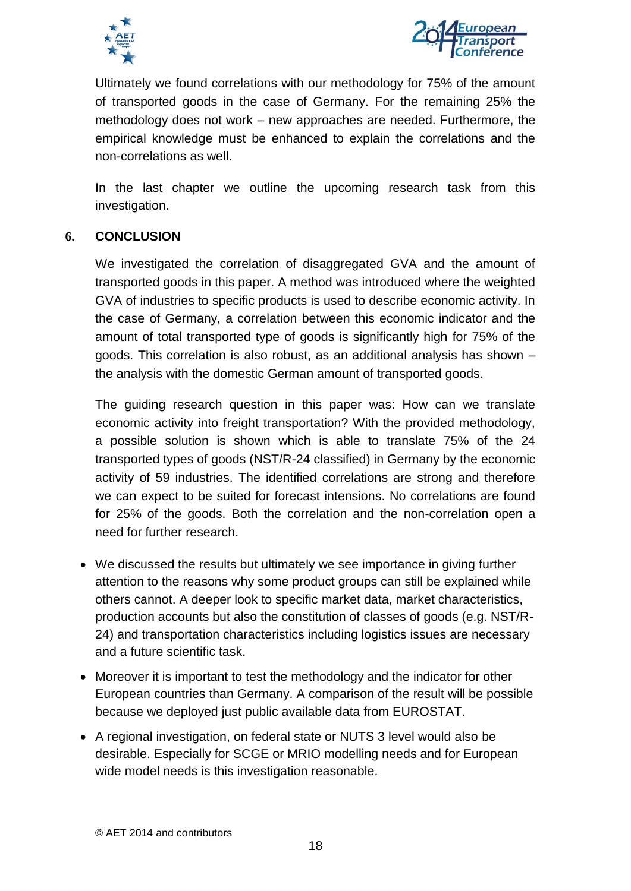



Ultimately we found correlations with our methodology for 75% of the amount of transported goods in the case of Germany. For the remaining 25% the methodology does not work – new approaches are needed. Furthermore, the empirical knowledge must be enhanced to explain the correlations and the non-correlations as well.

In the last chapter we outline the upcoming research task from this investigation.

# **6. CONCLUSION**

We investigated the correlation of disaggregated GVA and the amount of transported goods in this paper. A method was introduced where the weighted GVA of industries to specific products is used to describe economic activity. In the case of Germany, a correlation between this economic indicator and the amount of total transported type of goods is significantly high for 75% of the goods. This correlation is also robust, as an additional analysis has shown – the analysis with the domestic German amount of transported goods.

The guiding research question in this paper was: How can we translate economic activity into freight transportation? With the provided methodology, a possible solution is shown which is able to translate 75% of the 24 transported types of goods (NST/R-24 classified) in Germany by the economic activity of 59 industries. The identified correlations are strong and therefore we can expect to be suited for forecast intensions. No correlations are found for 25% of the goods. Both the correlation and the non-correlation open a need for further research.

- We discussed the results but ultimately we see importance in giving further attention to the reasons why some product groups can still be explained while others cannot. A deeper look to specific market data, market characteristics, production accounts but also the constitution of classes of goods (e.g. NST/R-24) and transportation characteristics including logistics issues are necessary and a future scientific task.
- Moreover it is important to test the methodology and the indicator for other European countries than Germany. A comparison of the result will be possible because we deployed just public available data from EUROSTAT.
- A regional investigation, on federal state or NUTS 3 level would also be desirable. Especially for SCGE or MRIO modelling needs and for European wide model needs is this investigation reasonable.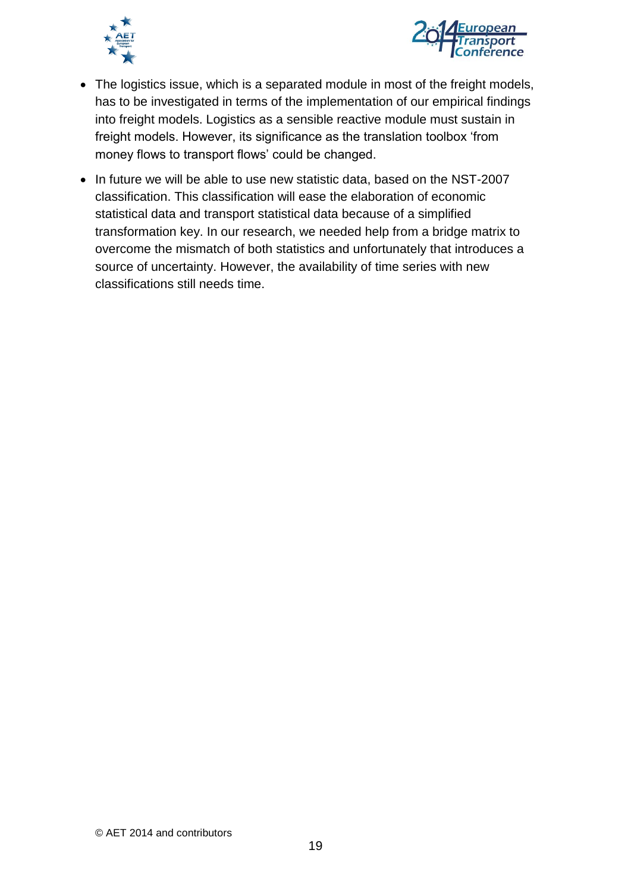



- The logistics issue, which is a separated module in most of the freight models, has to be investigated in terms of the implementation of our empirical findings into freight models. Logistics as a sensible reactive module must sustain in freight models. However, its significance as the translation toolbox 'from money flows to transport flows' could be changed.
- In future we will be able to use new statistic data, based on the NST-2007 classification. This classification will ease the elaboration of economic statistical data and transport statistical data because of a simplified transformation key. In our research, we needed help from a bridge matrix to overcome the mismatch of both statistics and unfortunately that introduces a source of uncertainty. However, the availability of time series with new classifications still needs time.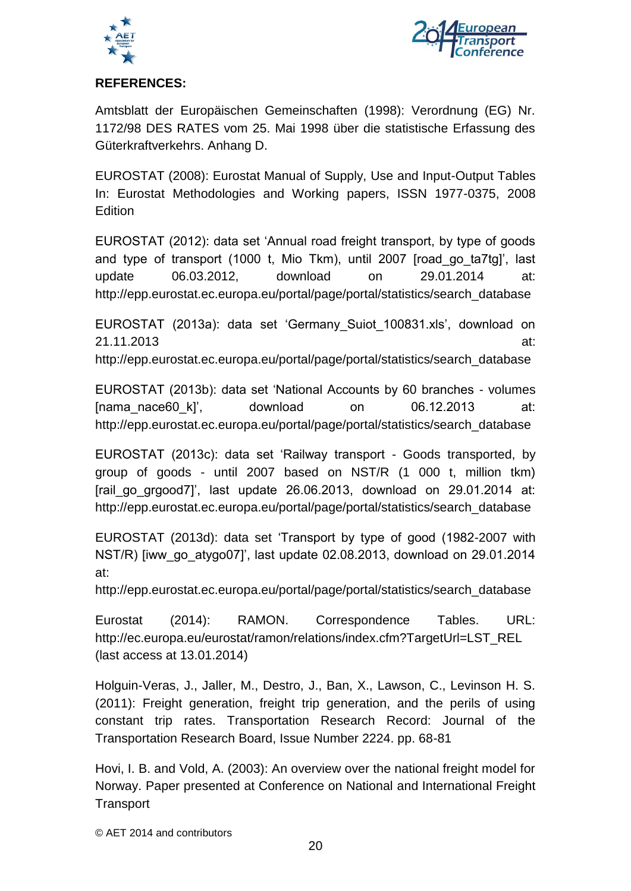



# **REFERENCES:**

Amtsblatt der Europäischen Gemeinschaften (1998): Verordnung (EG) Nr. 1172/98 DES RATES vom 25. Mai 1998 über die statistische Erfassung des Güterkraftverkehrs. Anhang D.

EUROSTAT (2008): Eurostat Manual of Supply, Use and Input-Output Tables In: Eurostat Methodologies and Working papers, ISSN 1977-0375, 2008 Edition

EUROSTAT (2012): data set 'Annual road freight transport, by type of goods and type of transport (1000 t, Mio Tkm), until 2007 [road\_go\_ta7tg]', last update 06.03.2012, download on 29.01.2014 at: http://epp.eurostat.ec.europa.eu/portal/page/portal/statistics/search\_database

EUROSTAT (2013a): data set 'Germany\_Suiot\_100831.xls', download on 21.11.2013 at: http://epp.eurostat.ec.europa.eu/portal/page/portal/statistics/search\_database

EUROSTAT (2013b): data set 'National Accounts by 60 branches - volumes [nama nace60 k]', download on  $06.12.2013$  at: http://epp.eurostat.ec.europa.eu/portal/page/portal/statistics/search\_database

EUROSTAT (2013c): data set 'Railway transport - Goods transported, by group of goods - until 2007 based on NST/R (1 000 t, million tkm) [rail go grgood7]', last update 26.06.2013, download on 29.01.2014 at: http://epp.eurostat.ec.europa.eu/portal/page/portal/statistics/search\_database

EUROSTAT (2013d): data set 'Transport by type of good (1982-2007 with NST/R) [iww\_go\_atygo07]', last update 02.08.2013, download on 29.01.2014 at:

http://epp.eurostat.ec.europa.eu/portal/page/portal/statistics/search\_database

Eurostat (2014): RAMON. Correspondence Tables. URL: http://ec.europa.eu/eurostat/ramon/relations/index.cfm?TargetUrl=LST\_REL (last access at 13.01.2014)

Holguin-Veras, J., Jaller, M., Destro, J., Ban, X., Lawson, C., Levinson H. S. (2011): Freight generation, freight trip generation, and the perils of using constant trip rates. Transportation Research Record: Journal of the Transportation Research Board, Issue Number 2224. pp. 68-81

Hovi, I. B. and Vold, A. (2003): An overview over the national freight model for Norway. Paper presented at Conference on National and International Freight **Transport**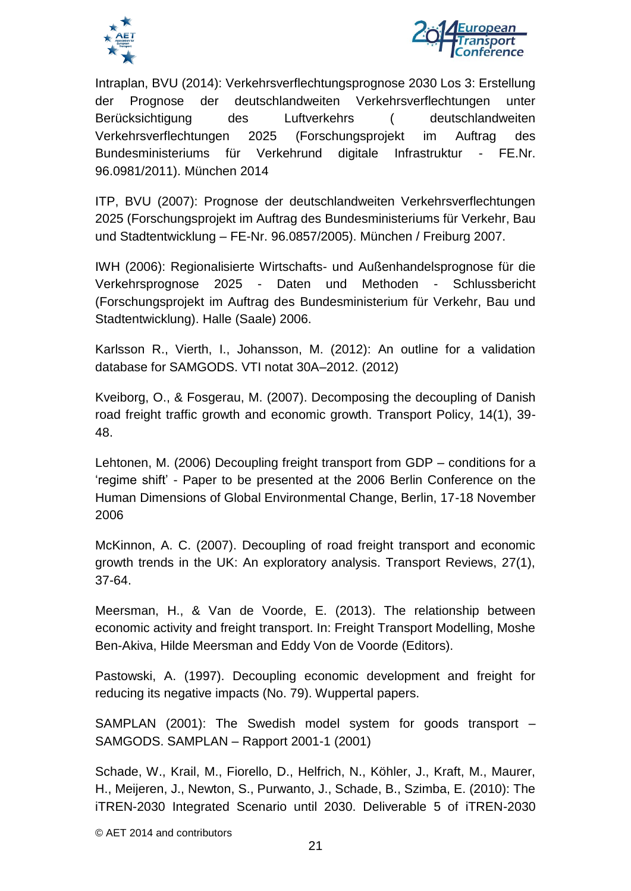



Intraplan, BVU (2014): Verkehrsverflechtungsprognose 2030 Los 3: Erstellung der Prognose der deutschlandweiten Verkehrsverflechtungen unter Berücksichtigung des Luftverkehrs ( deutschlandweiten Verkehrsverflechtungen 2025 (Forschungsprojekt im Auftrag des Bundesministeriums für Verkehrund digitale Infrastruktur - FE.Nr. 96.0981/2011). München 2014

ITP, BVU (2007): Prognose der deutschlandweiten Verkehrsverflechtungen 2025 (Forschungsprojekt im Auftrag des Bundesministeriums für Verkehr, Bau und Stadtentwicklung – FE-Nr. 96.0857/2005). München / Freiburg 2007.

IWH (2006): Regionalisierte Wirtschafts- und Außenhandelsprognose für die Verkehrsprognose 2025 - Daten und Methoden - Schlussbericht (Forschungsprojekt im Auftrag des Bundesministerium für Verkehr, Bau und Stadtentwicklung). Halle (Saale) 2006.

Karlsson R., Vierth, I., Johansson, M. (2012): An outline for a validation database for SAMGODS. VTI notat 30A–2012. (2012)

Kveiborg, O., & Fosgerau, M. (2007). Decomposing the decoupling of Danish road freight traffic growth and economic growth. Transport Policy, 14(1), 39- 48.

Lehtonen, M. (2006) Decoupling freight transport from GDP – conditions for a 'regime shift' - Paper to be presented at the 2006 Berlin Conference on the Human Dimensions of Global Environmental Change, Berlin, 17-18 November 2006

McKinnon, A. C. (2007). Decoupling of road freight transport and economic growth trends in the UK: An exploratory analysis. Transport Reviews, 27(1), 37-64.

Meersman, H., & Van de Voorde, E. (2013). The relationship between economic activity and freight transport. In: Freight Transport Modelling, Moshe Ben-Akiva, Hilde Meersman and Eddy Von de Voorde (Editors).

Pastowski, A. (1997). Decoupling economic development and freight for reducing its negative impacts (No. 79). Wuppertal papers.

SAMPLAN (2001): The Swedish model system for goods transport – SAMGODS. SAMPLAN – Rapport 2001-1 (2001)

Schade, W., Krail, M., Fiorello, D., Helfrich, N., Köhler, J., Kraft, M., Maurer, H., Meijeren, J., Newton, S., Purwanto, J., Schade, B., Szimba, E. (2010): The iTREN-2030 Integrated Scenario until 2030. Deliverable 5 of iTREN-2030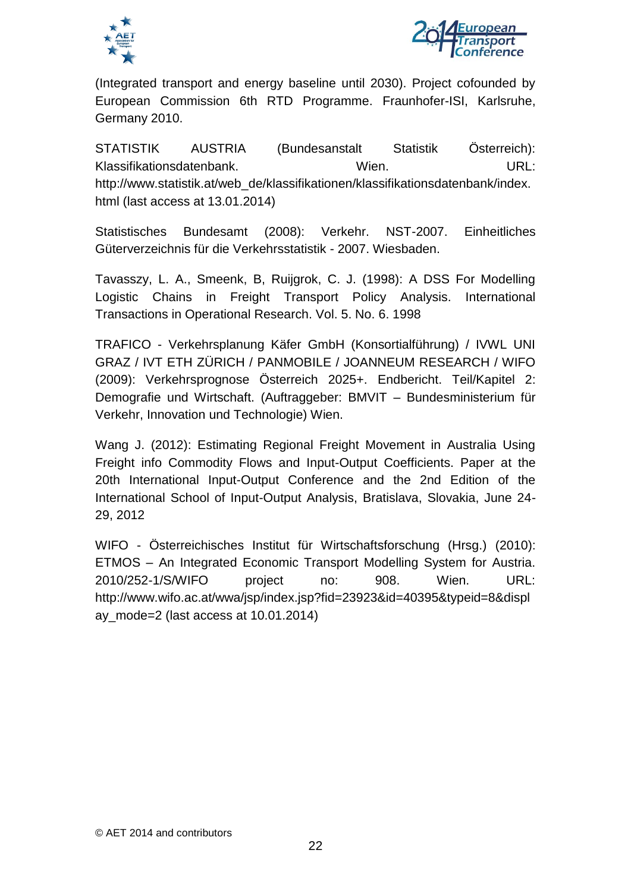



(Integrated transport and energy baseline until 2030). Project cofounded by European Commission 6th RTD Programme. Fraunhofer-ISI, Karlsruhe, Germany 2010.

STATISTIK AUSTRIA (Bundesanstalt Statistik Österreich): Klassifikationsdatenbank. Wien. URL: http://www.statistik.at/web\_de/klassifikationen/klassifikationsdatenbank/index. html (last access at 13.01.2014)

Statistisches Bundesamt (2008): Verkehr. NST-2007. Einheitliches Güterverzeichnis für die Verkehrsstatistik - 2007. Wiesbaden.

Tavasszy, L. A., Smeenk, B, Ruijgrok, C. J. (1998): A DSS For Modelling Logistic Chains in Freight Transport Policy Analysis. International Transactions in Operational Research. Vol. 5. No. 6. 1998

TRAFICO - Verkehrsplanung Käfer GmbH (Konsortialführung) / IVWL UNI GRAZ / IVT ETH ZÜRICH / PANMOBILE / JOANNEUM RESEARCH / WIFO (2009): Verkehrsprognose Österreich 2025+. Endbericht. Teil/Kapitel 2: Demografie und Wirtschaft. (Auftraggeber: BMVIT – Bundesministerium für Verkehr, Innovation und Technologie) Wien.

Wang J. (2012): Estimating Regional Freight Movement in Australia Using Freight info Commodity Flows and Input-Output Coefficients. Paper at the 20th International Input-Output Conference and the 2nd Edition of the International School of Input-Output Analysis, Bratislava, Slovakia, June 24- 29, 2012

WIFO - Österreichisches Institut für Wirtschaftsforschung (Hrsg.) (2010): ETMOS – An Integrated Economic Transport Modelling System for Austria. 2010/252-1/S/WIFO project no: 908. Wien. URL: http://www.wifo.ac.at/wwa/jsp/index.jsp?fid=23923&id=40395&typeid=8&displ ay\_mode=2 (last access at 10.01.2014)